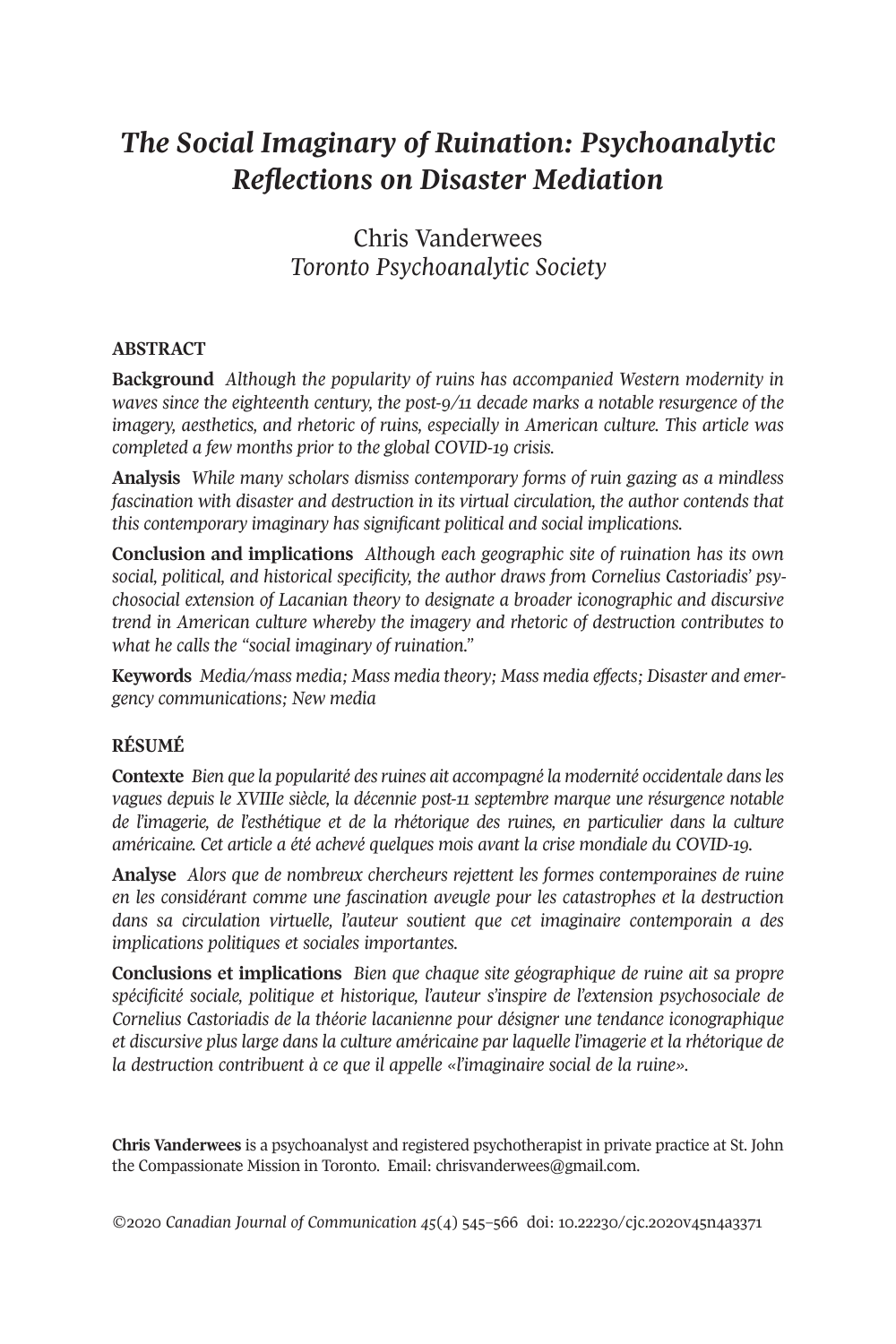# *The Social Imaginary of Ruination: Psychoanalytic Reflections on Disaster Mediation*

Chris Vanderwees *Toronto Psychoanalytic Society*

# **ABSTRACT**

**Background** *Although the popularity of ruins has accompanied Western modernity in waves since the eighteenth century, the post-9/11 decade marks a notable resurgence of the imagery, aesthetics, and rhetoric of ruins, especially in American culture. This article was completed a few months prior to the global COVID-19 crisis.*

**Analysis** *While many scholars dismiss contemporary forms of ruin gazing as a mindless fascination with disaster and destruction in its virtual circulation, the author contends that this contemporary imaginary has significant political and social implications.*

**Conclusion and implications** *Although each geographic site of ruination has its own social, political, and historical specificity, the author draws from Cornelius Castoriadis' psychosocial extension of Lacanian theory to designate a broader iconographic and discursive trend in American culture whereby the imagery and rhetoric of destruction contributes to what he calls the "social imaginary of ruination."*

**Keywords** *Media/mass media; Mass media theory; Mass media effects; Disaster and emergency communications; New media*

### **RÉSUMÉ**

**Contexte** *Bien que la popularité desruines ait accompagné la modernité occidentale dansles vagues depuis le XVIIIe siècle, la décennie post-11 septembre marque une résurgence notable de l'imagerie, de l'esthétique et de la rhétorique des ruines, en particulier dans la culture américaine. Cet article a été achevé quelques mois avant la crise mondiale du COVID-19.*

**Analyse** *Alors que de nombreux chercheurs rejettent les formes contemporaines de ruine en les considérant comme une fascination aveugle pour les catastrophes et la destruction dans sa circulation virtuelle, l'auteur soutient que cet imaginaire contemporain a des implications politiques et sociales importantes.*

**Conclusions et implications** *Bien que chaque site géographique de ruine ait sa propre spécificité sociale, politique et historique, l'auteur s'inspire de l'extension psychosociale de Cornelius Castoriadis de la théorie lacanienne pour désigner une tendance iconographique et discursive plus large dans la culture américaine par laquelle l'imagerie et la rhétorique de la destruction contribuent à ce que il appelle «l'imaginaire social de la ruine».*

**Chris Vanderwees** is a psychoanalyst and registered psychotherapist in private practice at St. John the Compassionate Mission in Toronto. Email: [chrisvanderwees@gmail.com.](mailto:chrisvanderwees@gmail.com)

*©*2020 *Canadian Journal of [Communication](http://www.cjc-online.ca) 45*(4) 545–566 doi: [10.22230/cjc.2020v45n4a3371](http://doi.org/10.22230/cjc.2020v45n4a3371)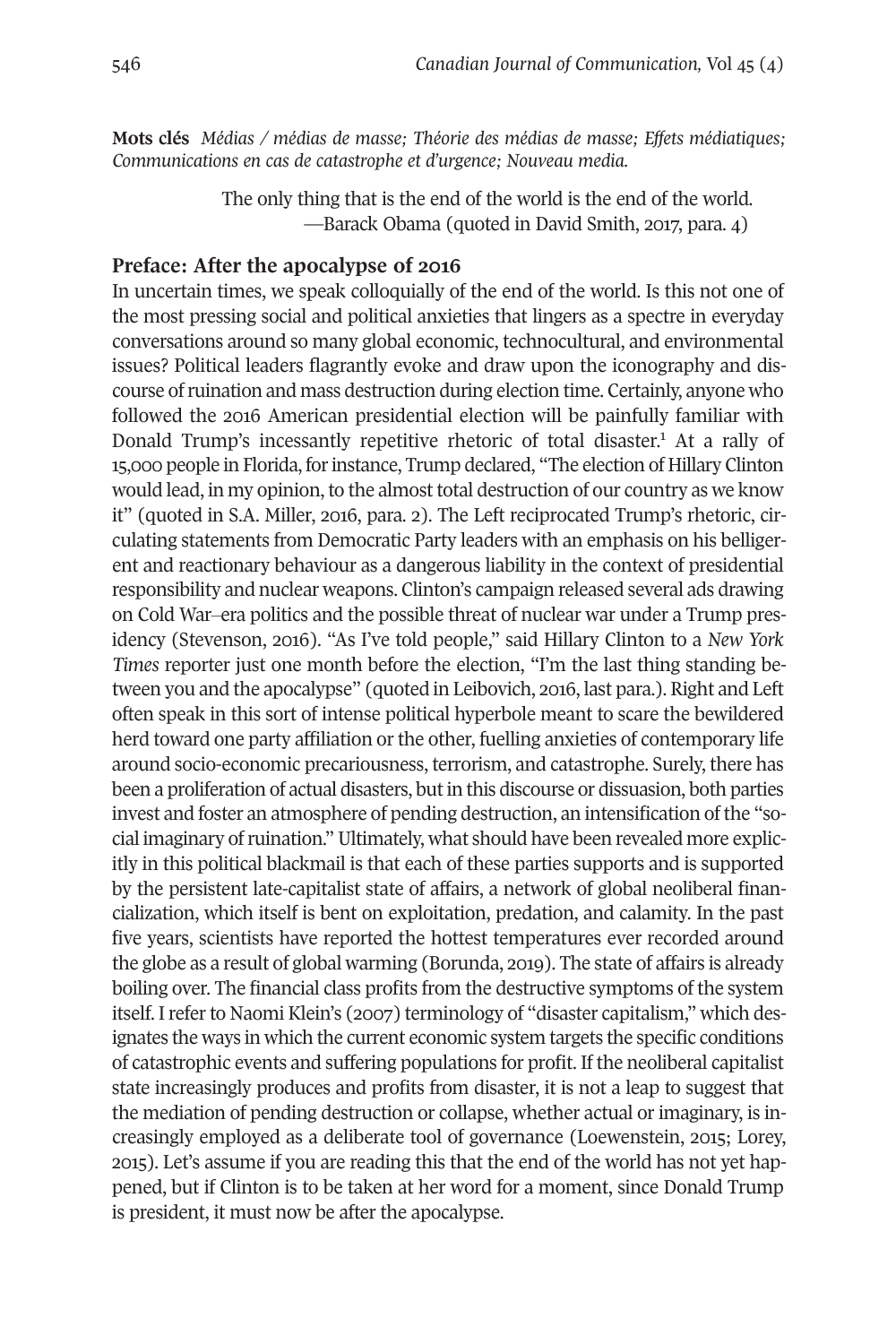**Mots clés** *Médias / médias de masse; Théorie des médias de masse; Effets médiatiques; Communications en cas de catastrophe et d'urgence; Nouveau media.*

> The only thing that is the end of the world is the end of the world. —Barack Obama (quoted in David Smith, 2017, para. 4)

### **Preface: After the apocalypse of 2016**

In uncertain times, we speak colloquially of the end of the world. Is this not one of the most pressing social and political anxieties that lingers as a spectre in everyday conversations around so many global economic, technocultural, and environmental issues? Political leaders flagrantly evoke and draw upon the iconography and discourse ofruination and mass destruction during election time. Certainly, anyone who followed the 2016 American presidential election will be painfully familiar with Donald Trump's incessantly repetitive rhetoric of total disaster. [1](#page-17-0) At a rally of 15,000 people in Florida, forinstance, Trump declared, "The election of Hillary Clinton would lead, in my opinion, to the almost total destruction of our country as we know it" (quoted in S.A. Miller, 2016, para. 2). The Left reciprocated Trump's rhetoric, circulating statements from Democratic Party leaders with an emphasis on his belligerent and reactionary behaviour as a dangerous liability in the context of presidential responsibility and nuclear weapons. Clinton's campaign released several ads drawing on Cold War‒era politics and the possible threat of nuclear war under a Trump presidency (Stevenson, 2016). "As I've told people," said Hillary Clinton to a *New York Times* reporter just one month before the election, "I'm the last thing standing between you and the apocalypse" (quoted in Leibovich, 2016, last para.). Right and Left often speak in this sort of intense political hyperbole meant to scare the bewildered herd toward one party affiliation or the other, fuelling anxieties of contemporary life around socio-economic precariousness, terrorism, and catastrophe. Surely, there has been a proliferation of actual disasters, but in this discourse or dissuasion, both parties invest and foster an atmosphere of pending destruction, an intensification of the "social imaginary ofruination."Ultimately, what should have been revealed more explicitly in this political blackmail is that each of these parties supports and is supported by the persistent late-capitalist state of affairs, a network of global neoliberal financialization, which itself is bent on exploitation, predation, and calamity. In the past five years, scientists have reported the hottest temperatures ever recorded around the globe as a result of global warming (Borunda, 2019). The state of affairs is already boiling over. The financial class profits from the destructive symptoms of the system itself. I refer to Naomi Klein's (2007) terminology of "disaster capitalism," which designates the ways in which the current economic system targets the specific conditions of catastrophic events and suffering populations for profit. If the neoliberal capitalist state increasingly produces and profits from disaster, it is not a leap to suggest that the mediation of pending destruction or collapse, whether actual or imaginary, is increasingly employed as a deliberate tool of governance (Loewenstein, 2015; Lorey, 2015). Let's assume if you are reading this that the end of the world has not yet happened, but if Clinton is to be taken at her word for a moment, since Donald Trump is president, it must now be after the apocalypse.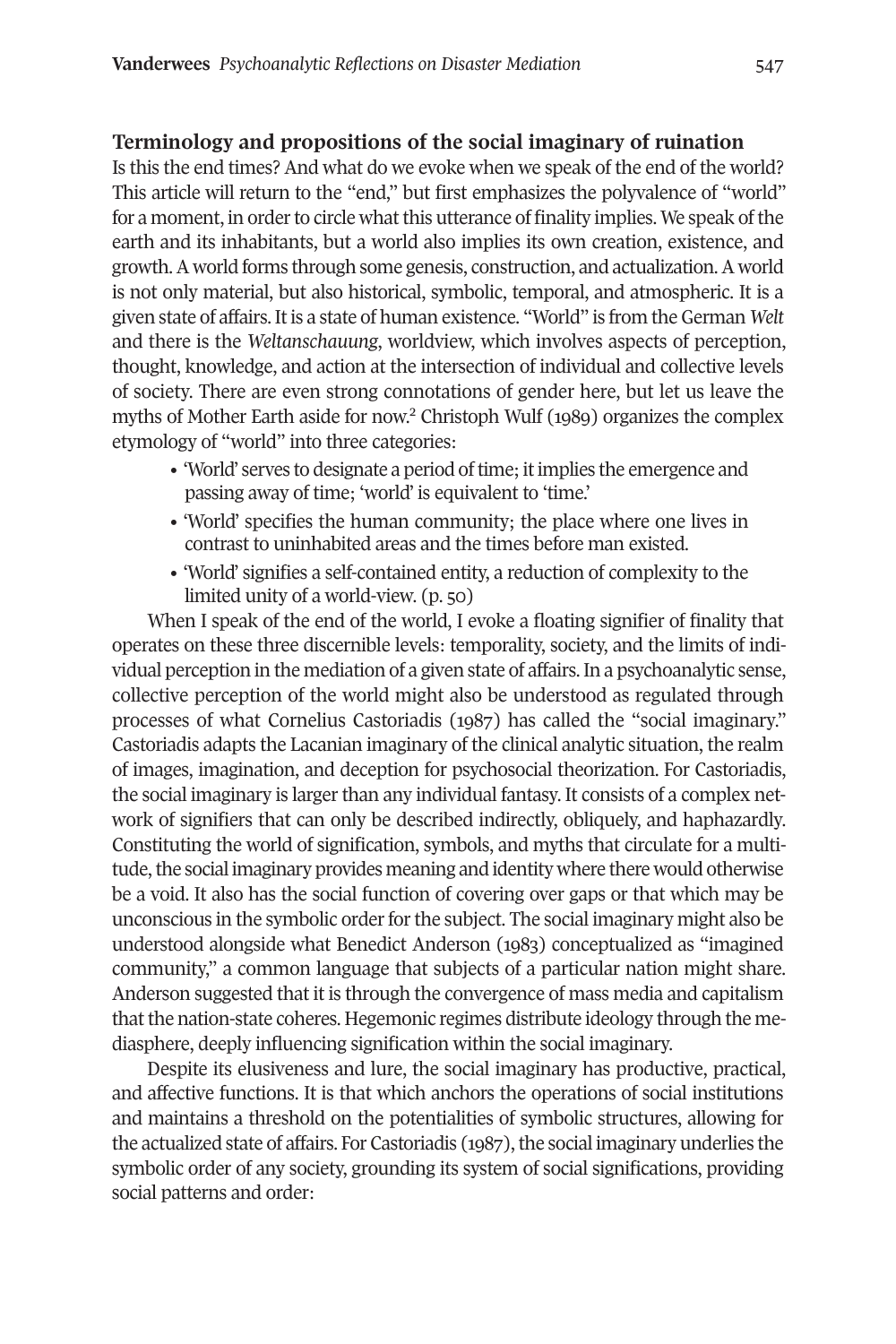#### **Terminology and propositions of the social imaginary of ruination**

Is this the end times? And what do we evoke when we speak of the end of the world? This article will return to the "end," but first emphasizes the polyvalence of "world" for a moment, in order to circle what this utterance of finality implies. We speak of the earth and its inhabitants, but a world also implies its own creation, existence, and growth.A world forms through some genesis, construction, and actualization.A world is not only material, but also historical, symbolic, temporal, and atmospheric. It is a given state of affairs. It is a state of human existence. "World" is from the German Welt and there is the *Weltanschauung*, worldview, which involves aspects of perception, thought, knowledge, and action at the intersection of individual and collective levels of society. There are even strong connotations of gender here, but let us leave the myths of Mother Earth aside for now. <sup>2</sup> Christoph Wulf (1989) organizes the complex etymology of "world" into three categories:

- 'World' serves to designate a period of time; it implies the emergence and passing away of time; 'world' is equivalent to 'time.'
- 'World' specifies the human community; the place where one lives in contrast to uninhabited areas and the times before man existed.
- 'World' signifies a self-contained entity, a reduction of complexity to the limited unity of a world-view. (p. 50)

When I speak of the end of the world, I evoke a floating signifier of finality that operates on these three discernible levels: temporality, society, and the limits of individual perception in the mediation of a given state of affairs.In a psychoanalytic sense, collective perception of the world might also be understood as regulated through processes of what Cornelius Castoriadis (1987) has called the "social imaginary." Castoriadis adapts the Lacanian imaginary of the clinical analytic situation, the realm of images, imagination, and deception for psychosocial theorization. For Castoriadis, the social imaginary is largerthan any individual fantasy. It consists of a complex network of signifiers that can only be described indirectly, obliquely, and haphazardly. Constituting the world of signification, symbols, and myths that circulate for a multitude, the social imaginary provides meaning and identity where there would otherwise be a void. It also has the social function of covering over gaps or that which may be unconscious in the symbolic order for the subject. The social imaginary might also be understood alongside what Benedict Anderson (1983) conceptualized as "imagined community," a common language that subjects of a particular nation might share. Anderson suggested that it is through the convergence of mass media and capitalism that the nation-state coheres. Hegemonic regimes distribute ideology through the mediasphere, deeply influencing signification within the social imaginary.

Despite its elusiveness and lure, the social imaginary has productive, practical, and affective functions. It is that which anchors the operations of social institutions and maintains a threshold on the potentialities of symbolic structures, allowing for the actualized state of affairs. For Castoriadis  $(1987)$ , the social imaginary underlies the symbolic order of any society, grounding its system of social significations, providing social patterns and order: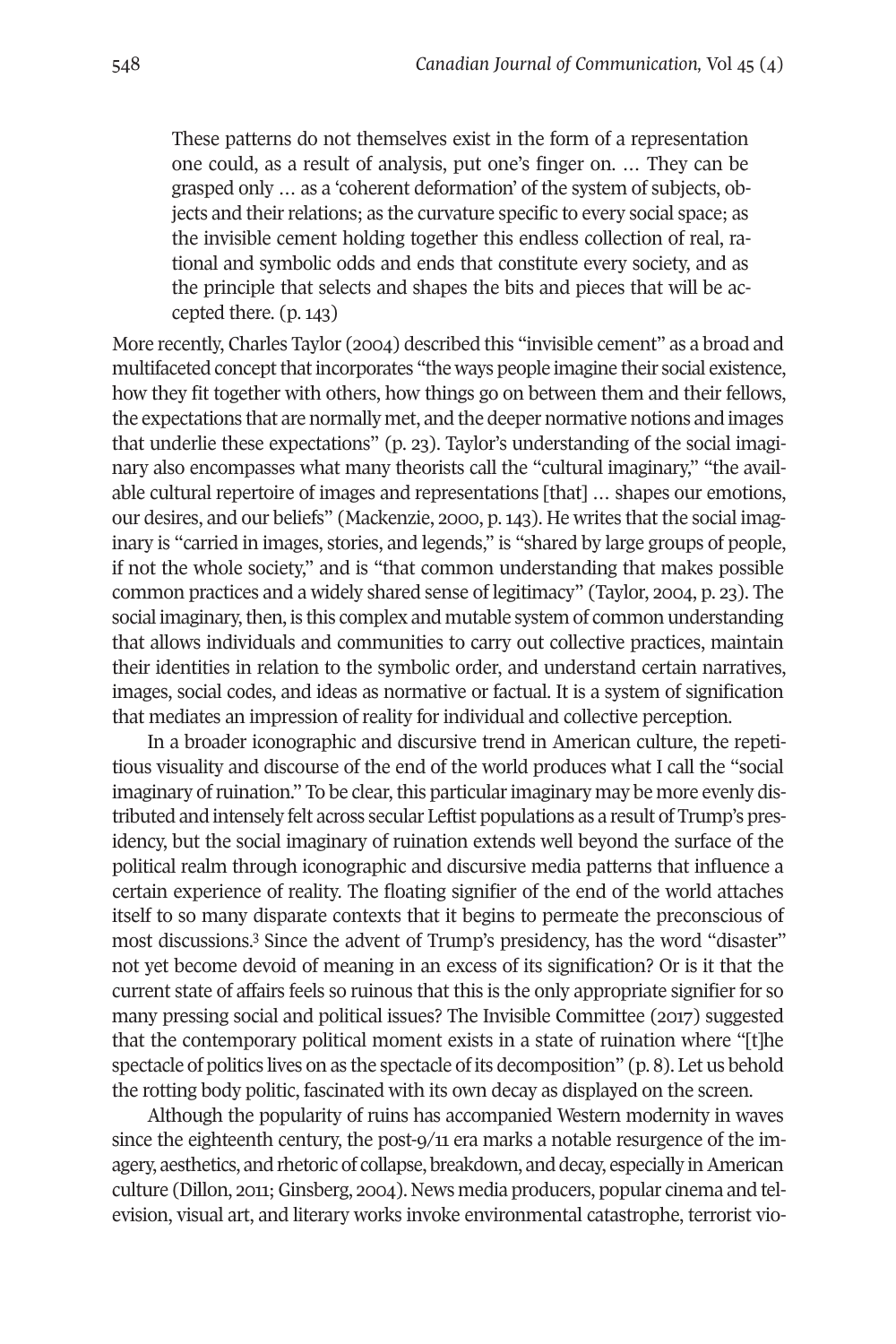These patterns do not themselves exist in the form of a representation one could, as a result of analysis, put one's finger on. … They can be grasped only … as a 'coherent deformation' of the system of subjects, objects and their relations; as the curvature specific to every social space; as the invisible cement holding together this endless collection of real, rational and symbolic odds and ends that constitute every society, and as the principle that selects and shapes the bits and pieces that will be accepted there. (p. 143)

More recently, Charles Taylor (2004) described this "invisible cement" as a broad and multifaceted concept that incorporates "the ways people imagine their social existence, how they fit together with others, how things go on between them and their fellows, the expectations that are normally met, and the deeper normative notions and images that underlie these expectations" (p. 23). Taylor's understanding of the social imaginary also encompasses what many theorists call the "cultural imaginary," "the available cultural repertoire of images and representations [that] … shapes our emotions, our desires, and our beliefs" (Mackenzie, 2000, p. 143). He writes that the social imaginary is "carried in images, stories, and legends," is "shared by large groups of people, if not the whole society," and is "that common understanding that makes possible common practices and a widely shared sense of legitimacy" (Taylor, 2004, p. 23). The social imaginary, then, is this complex and mutable system of common understanding that allows individuals and communities to carry out collective practices, maintain their identities in relation to the symbolic order, and understand certain narratives, images, social codes, and ideas as normative or factual. It is a system of signification that mediates an impression of reality for individual and collective perception.

In a broader iconographic and discursive trend in American culture, the repetitious visuality and discourse of the end of the world produces what I call the "social imaginary of ruination." To be clear, this particular imaginary may be more evenly distributed and intensely felt across secular Leftist populations as a result of Trump's presidency, but the social imaginary of ruination extends well beyond the surface of the political realm through iconographic and discursive media patterns that influence a certain experience of reality. The floating signifier of the end of the world attaches itself to so many disparate contexts that it begins to permeate the preconscious of most discussions. [3](#page-17-1) Since the advent of Trump's presidency, has the word "disaster" not yet become devoid of meaning in an excess of its signification? Or is it that the current state of affairs feels so ruinous that this is the only appropriate signifier for so many pressing social and political issues? The Invisible Committee (2017) suggested that the contemporary political moment exists in a state of ruination where "[t]he spectacle of politics lives on as the spectacle of its decomposition" (p. 8). Let us behold the rotting body politic, fascinated with its own decay as displayed on the screen.

Although the popularity of ruins has accompanied Western modernity in waves since the eighteenth century, the post-9/11 era marks a notable resurgence of the imagery, aesthetics, and rhetoric of collapse, breakdown, and decay, especially in American culture (Dillon, 2011; Ginsberg, 2004). News media producers, popular cinema and television, visual art, and literary works invoke environmental catastrophe, terrorist vio-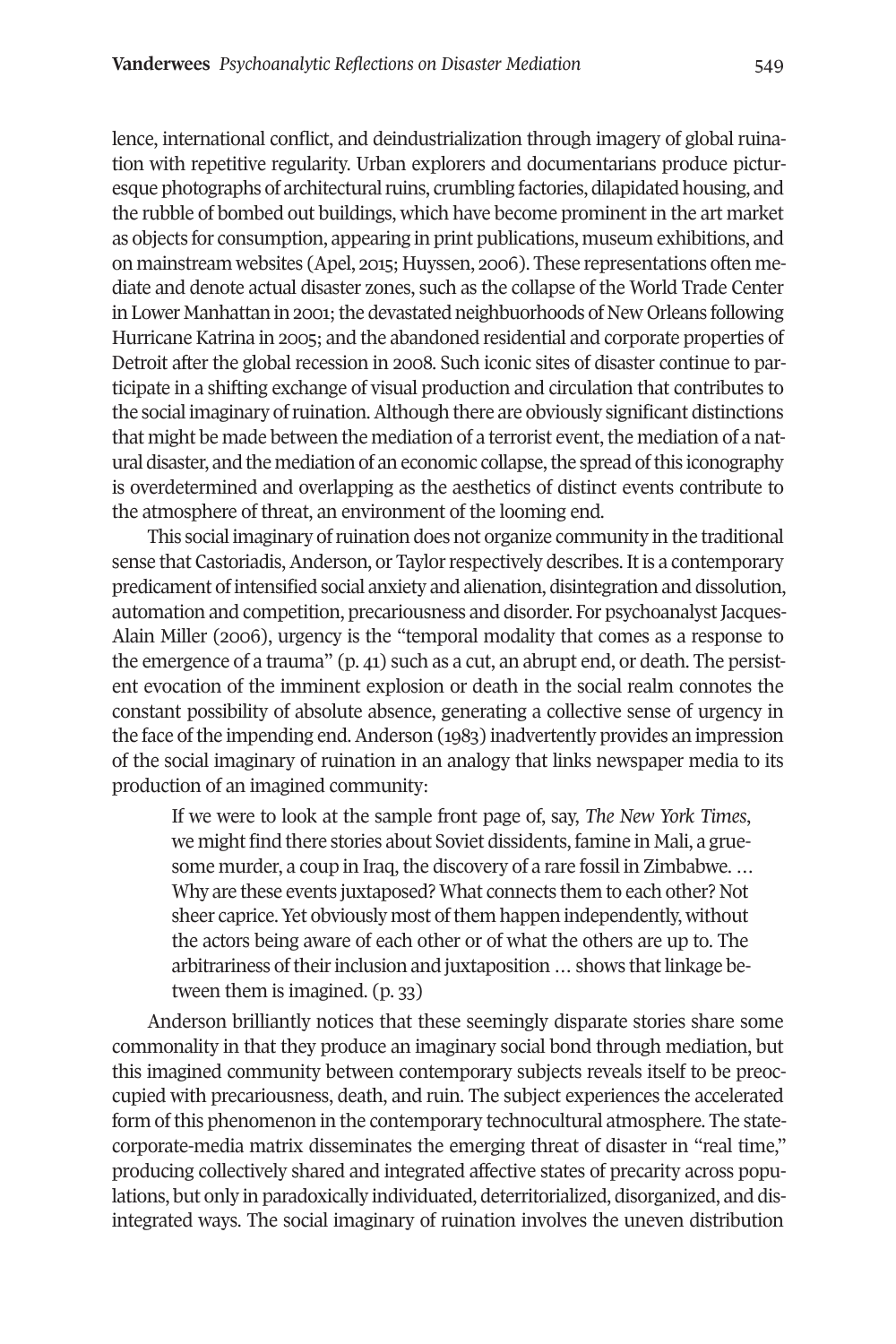lence, international conflict, and deindustrialization through imagery of global ruination with repetitive regularity. Urban explorers and documentarians produce picturesque photographs of architectural ruins, crumbling factories, dilapidated housing, and the rubble of bombed out buildings, which have become prominent in the art market as objects for consumption, appearing in print publications, museum exhibitions, and on mainstream websites (Apel, 2015; Huyssen, 2006). These representations often mediate and denote actual disaster zones, such as the collapse of the World Trade Center in Lower Manhattan in 2001; the devastated neighbuorhoods of New Orleans following Hurricane Katrina in 2005; and the abandoned residential and corporate properties of Detroit after the global recession in 2008. Such iconic sites of disaster continue to participate in a shifting exchange of visual production and circulation that contributes to the social imaginary ofruination.Although there are obviously significant distinctions that might be made between the mediation of a terrorist event, the mediation of a natural disaster, and the mediation of an economic collapse,the spread ofthis iconography is overdetermined and overlapping as the aesthetics of distinct events contribute to the atmosphere of threat, an environment of the looming end.

This social imaginary ofruination does not organize community in the traditional sense that Castoriadis, Anderson, or Taylor respectively describes. It is a contemporary predicament ofintensified social anxiety and alienation, disintegration and dissolution, automation and competition, precariousness and disorder. For psychoanalyst Jacques-Alain Miller (2006), urgency is the "temporal modality that comes as a response to the emergence of a trauma" (p. 41) such as a cut, an abrupt end, or death. The persistent evocation of the imminent explosion or death in the social realm connotes the constant possibility of absolute absence, generating a collective sense of urgency in the face of the impending end. Anderson (1983) inadvertently provides an impression of the social imaginary of ruination in an analogy that links newspaper media to its production of an imagined community:

If we were to look at the sample front page of, say, *The New York Times*, we might find there stories about Soviet dissidents, famine in Mali, a gruesome murder, a coup in Iraq, the discovery of a rare fossil in Zimbabwe. … Why are these events juxtaposed? What connects them to each other? Not sheer caprice. Yet obviously most of them happen independently, without the actors being aware of each other or of what the others are up to. The arbitrariness of their inclusion and juxtaposition ... shows that linkage between them is imagined. (p. 33)

Anderson brilliantly notices that these seemingly disparate stories share some commonality in that they produce an imaginary social bond through mediation, but this imagined community between contemporary subjects reveals itself to be preoccupied with precariousness, death, and ruin. The subject experiences the accelerated form ofthis phenomenon in the contemporary technocultural atmosphere. The statecorporate-media matrix disseminates the emerging threat of disaster in "real time," producing collectively shared and integrated affective states of precarity across populations, but only in paradoxically individuated, deterritorialized, disorganized, and disintegrated ways. The social imaginary of ruination involves the uneven distribution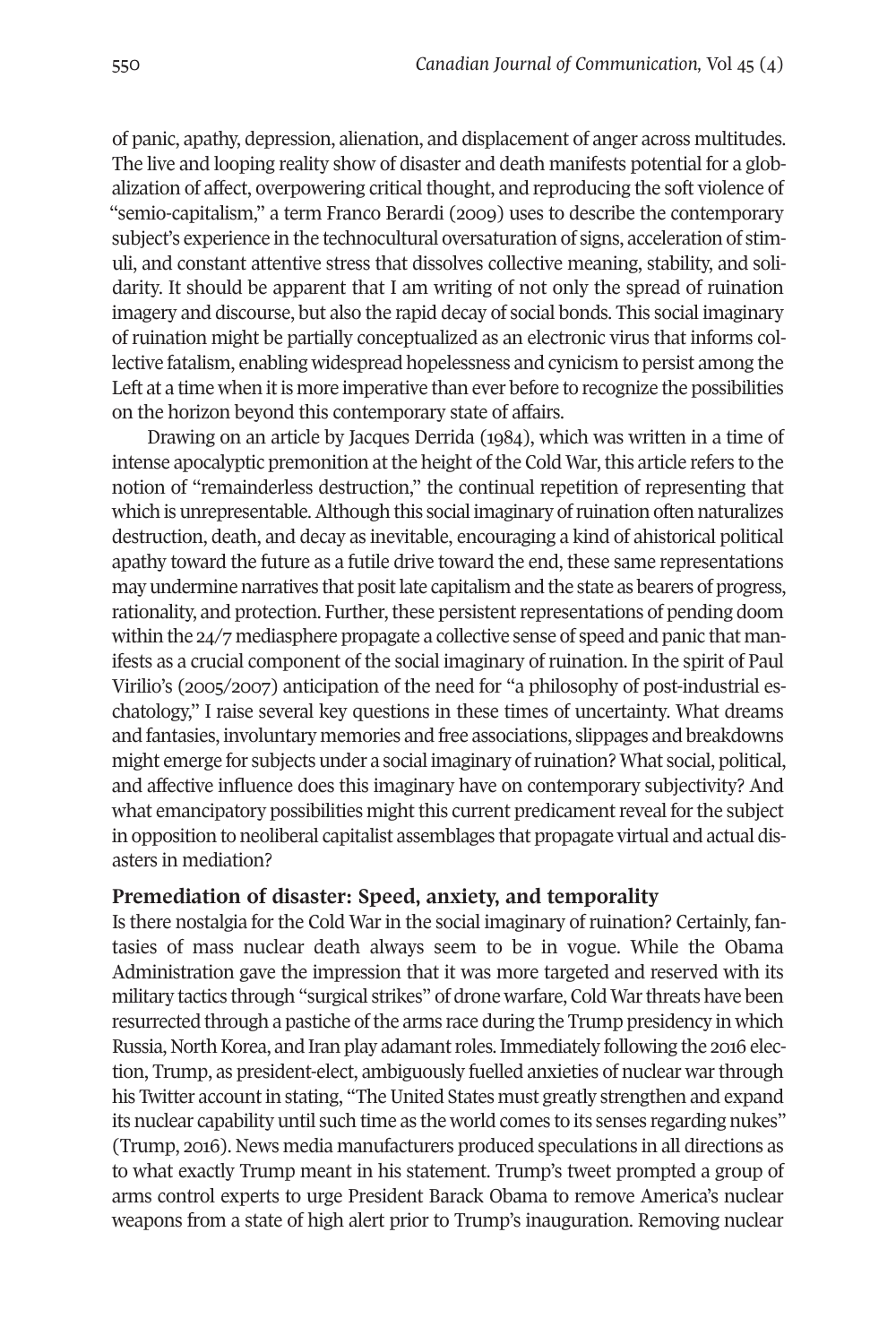of panic, apathy, depression, alienation, and displacement of anger across multitudes. The live and looping reality show of disaster and death manifests potential for a globalization of affect, overpowering critical thought, and reproducing the soft violence of "semio-capitalism," a term Franco Berardi (2009) uses to describe the contemporary subject's experience in the technocultural oversaturation of signs, acceleration of stimuli, and constant attentive stress that dissolves collective meaning, stability, and solidarity. It should be apparent that I am writing of not only the spread of ruination imagery and discourse, but also the rapid decay of social bonds. This social imaginary of ruination might be partially conceptualized as an electronic virus that informs collective fatalism, enabling widespread hopelessness and cynicism to persist among the Left at a time when it is more imperative than ever before to recognize the possibilities on the horizon beyond this contemporary state of affairs.

Drawing on an article by Jacques Derrida (1984), which was written in a time of intense apocalyptic premonition at the height of the Cold War, this article refers to the notion of "remainderless destruction," the continual repetition of representing that which is unrepresentable.Although this social imaginary ofruination often naturalizes destruction, death, and decay as inevitable, encouraging a kind of ahistorical political apathy toward the future as a futile drive toward the end, these same representations may undermine narratives that positlate capitalism and the state as bearers of progress, rationality, and protection. Further, these persistent representations of pending doom within the 24/7 mediasphere propagate a collective sense of speed and panic that manifests as a crucial component of the social imaginary of ruination. In the spirit of Paul Virilio's (2005/2007) anticipation of the need for "a philosophy of post-industrial eschatology," I raise several key questions in these times of uncertainty. What dreams and fantasies, involuntary memories and free associations, slippages and breakdowns might emerge for subjects under a social imaginary of ruination? What social, political, and affective influence does this imaginary have on contemporary subjectivity? And what emancipatory possibilities might this current predicament reveal for the subject in opposition to neoliberal capitalist assemblages that propagate virtual and actual disasters in mediation?

#### **Premediation of disaster: Speed, anxiety, and temporality**

Is there nostalgia for the Cold War in the social imaginary of ruination? Certainly, fantasies of mass nuclear death always seem to be in vogue. While the Obama Administration gave the impression that it was more targeted and reserved with its military tactics through "surgical strikes" of drone warfare, Cold Warthreats have been resurrected through a pastiche of the arms race during the Trump presidency in which Russia, North Korea, and Iran play adamant roles. Immediately following the 2016 election, Trump, as president-elect, ambiguously fuelled anxieties of nuclear warthrough his Twitter account in stating, "The United States must greatly strengthen and expand its nuclear capability until such time as the world comes to its senses regarding nukes" (Trump, 2016). News media manufacturers produced speculations in all directions as to what exactly Trump meant in his statement. Trump's tweet prompted a group of arms control experts to urge President Barack Obama to remove America's nuclear weapons from a state of high alert prior to Trump's inauguration. Removing nuclear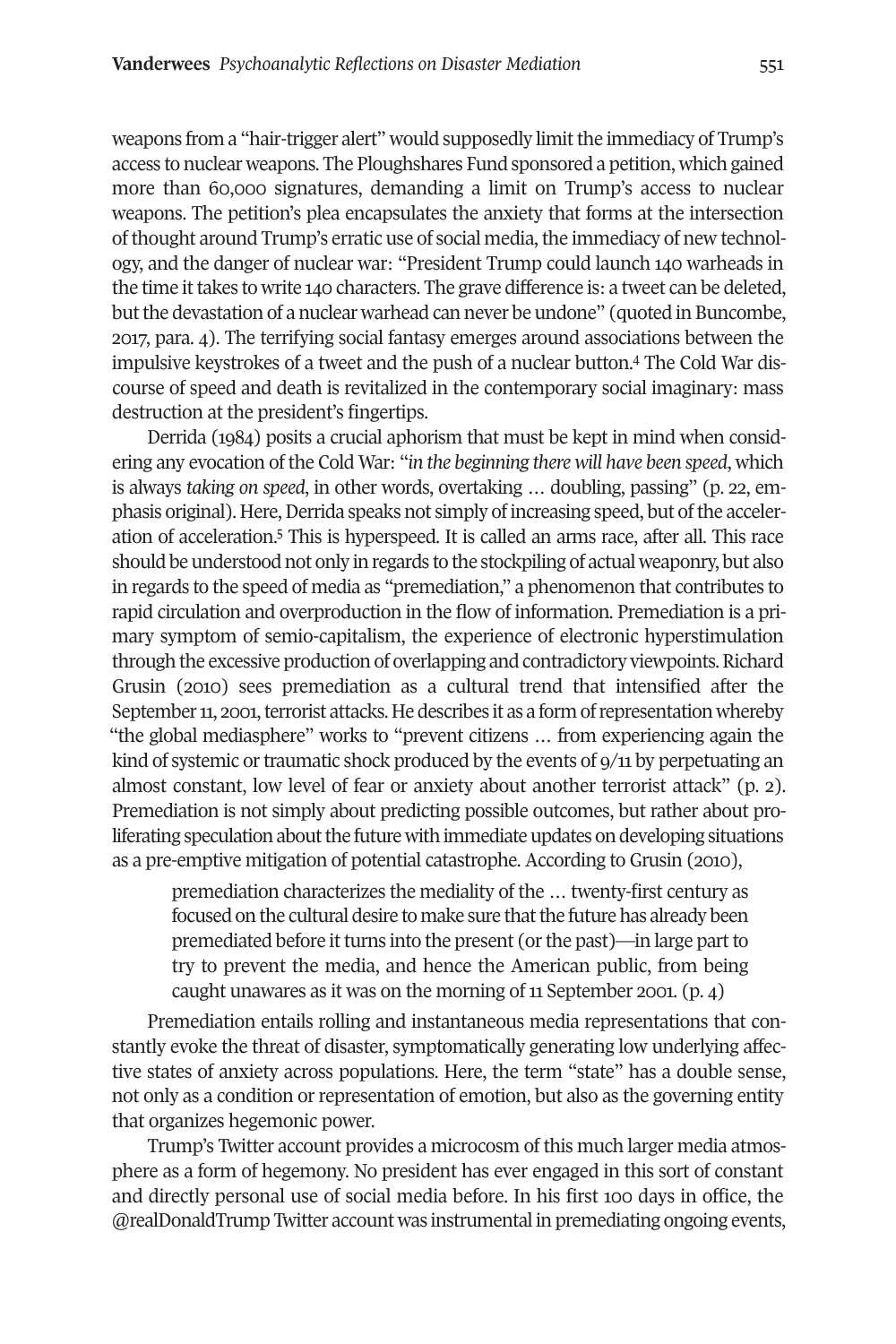weapons from a "hair-trigger alert" would supposedly limitthe immediacy of Trump's access to nuclear weapons. The Ploughshares Fund sponsored a petition, which gained more than 60,000 signatures, demanding a limit on Trump's access to nuclear weapons. The petition's plea encapsulates the anxiety that forms at the intersection ofthought around Trump's erratic use of social media,the immediacy of new technology, and the danger of nuclear war: "President Trump could launch 140 warheads in the time it takes to write 140 characters. The grave difference is: a tweet can be deleted, butthe devastation of a nuclear warhead can never be undone" (quoted in Buncombe, 2017, para. 4). The terrifying social fantasy emerges around associations between the impulsive keystrokes of a tweet and the push of a nuclear button. [4](#page-17-2) The Cold War discourse of speed and death is revitalized in the contemporary social imaginary: mass destruction at the president's fingertips.

Derrida (1984) posits a crucial aphorism that must be kept in mind when considering any evocation of the Cold War: "*in the beginning there will have been speed*, which is always *taking on speed*, in other words, overtaking … doubling, passing" (p. 22, emphasis original). Here, Derrida speaks not simply of increasing speed, but of the acceleration of acceleration. [5](#page-17-3) This is hyperspeed. It is called an arms race, after all. This race should be understood not only in regards to the stockpiling of actualweaponry, but also in regards to the speed of media as "premediation," a phenomenon that contributes to rapid circulation and overproduction in the flow of information. Premediation is a primary symptom of semio-capitalism, the experience of electronic hyperstimulation through the excessive production of overlapping and contradictory viewpoints. Richard Grusin (2010) sees premediation as a cultural trend that intensified after the September 11, 2001, terrorist attacks. He describes it as a form of representation whereby "the global mediasphere" works to "prevent citizens … from experiencing again the kind of systemic or traumatic shock produced by the events of  $9/11$  by perpetuating an almost constant, low level of fear or anxiety about another terrorist attack" (p. 2). Premediation is not simply about predicting possible outcomes, but rather about proliferating speculation about the future with immediate updates on developing situations as a pre-emptive mitigation of potential catastrophe. According to Grusin (2010),

premediation characterizes the mediality of the … twenty-first century as focused on the cultural desire to make sure that the future has already been premediated before it turns into the present (or the past)—in large part to try to prevent the media, and hence the American public, from being caught unawares as it was on the morning of 11 September 2001. (p. 4)

Premediation entails rolling and instantaneous media representations that constantly evoke the threat of disaster, symptomatically generating low underlying affective states of anxiety across populations. Here, the term "state" has a double sense, not only as a condition or representation of emotion, but also as the governing entity that organizes hegemonic power.

Trump's Twitter account provides a microcosm of this much larger media atmosphere as a form of hegemony. No president has ever engaged in this sort of constant and directly personal use of social media before. In his first 100 days in office, the @realDonaldTrump Twitter account was instrumental in premediating ongoing events,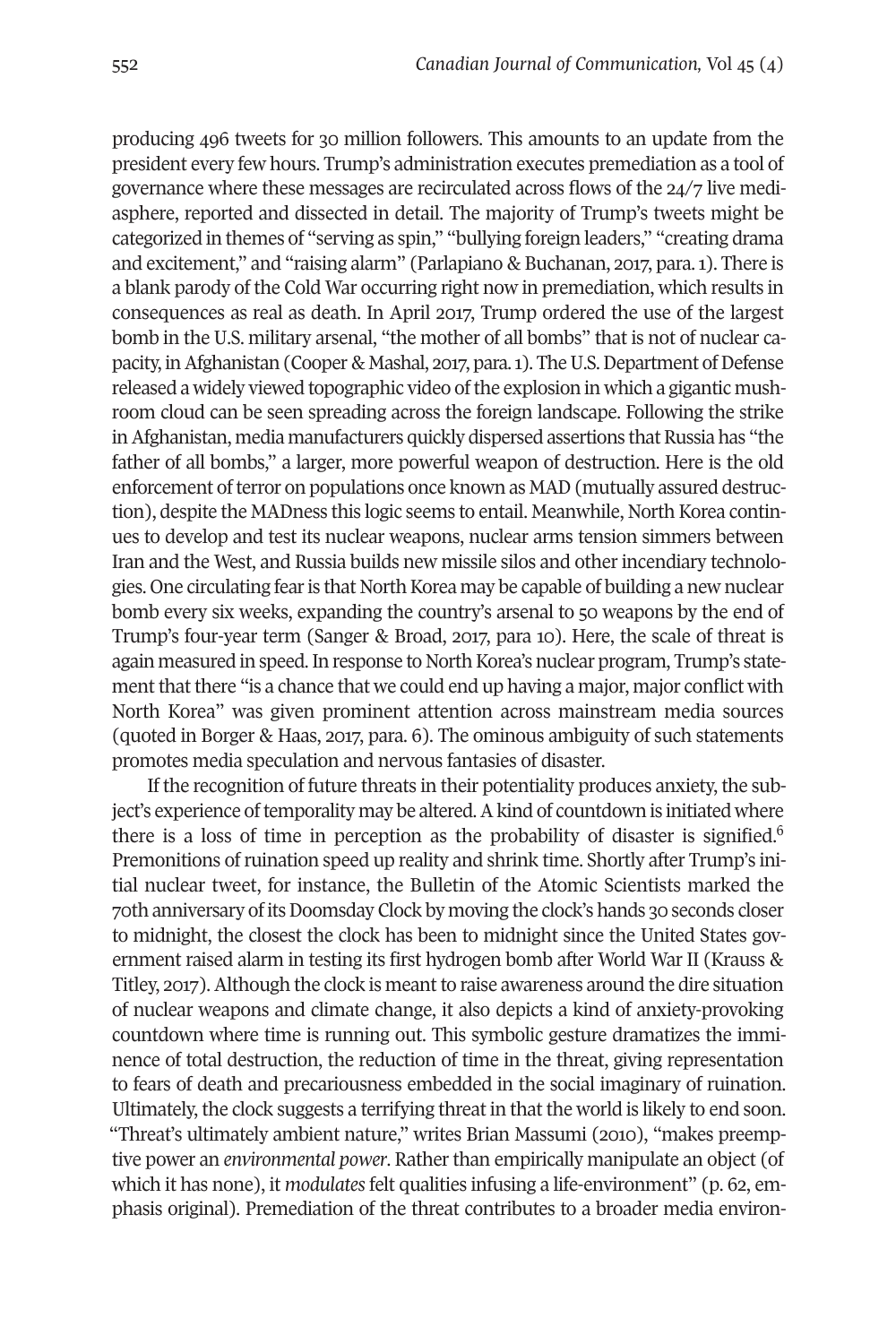producing 496 tweets for 30 million followers. This amounts to an update from the president every few hours. Trump's administration executes premediation as a tool of governance where these messages are recirculated across flows of the 24/7 live mediasphere, reported and dissected in detail. The majority of Trump's tweets might be categorized in themes of "serving as spin," "bullying foreign leaders," "creating drama and excitement," and "raising alarm" (Parlapiano & Buchanan, 2017, para.1). There is a blank parody of the Cold War occurring right now in premediation, which results in consequences as real as death. In April 2017, Trump ordered the use of the largest bomb in the U.S. military arsenal, "the mother of all bombs" that is not of nuclear capacity, in Afghanistan (Cooper & Mashal, 2017, para. 1). The U.S. Department of Defense released a widely viewed topographic video ofthe explosion in which a gigantic mushroom cloud can be seen spreading across the foreign landscape. Following the strike in Afghanistan, media manufacturers quickly dispersed assertions that Russia has "the father of all bombs," a larger, more powerful weapon of destruction. Here is the old enforcement of terror on populations once known as MAD (mutually assured destruction), despite the MADness this logic seems to entail. Meanwhile, North Korea continues to develop and test its nuclear weapons, nuclear arms tension simmers between Iran and the West, and Russia builds new missile silos and other incendiary technologies. One circulating fear is that North Korea may be capable of building a new nuclear bomb every six weeks, expanding the country's arsenal to 50 weapons by the end of Trump's four-year term (Sanger & Broad, 2017, para 10). Here, the scale of threat is again measured in speed. In response to North Korea's nuclear program, Trump's statement that there "is a chance that we could end up having a major, major conflict with North Korea" was given prominent attention across mainstream media sources (quoted in Borger & Haas, 2017, para. 6). The ominous ambiguity of such statements promotes media speculation and nervous fantasies of disaster.

If the recognition of future threats in their potentiality produces anxiety, the subject's experience oftemporality may be altered.Akind of countdown is initiated where there is a loss of time in perception as the probability of disaster is signified.<sup>[6](#page-17-4)</sup> Premonitions ofruination speed up reality and shrink time. Shortly after Trump's initial nuclear tweet, for instance, the Bulletin of the Atomic Scientists marked the 70th anniversary of itsDoomsday Clock by moving the clock's hands 30 seconds closer to midnight, the closest the clock has been to midnight since the United States government raised alarm in testing its first hydrogen bomb after World War II (Krauss & Titley, 2017).Although the clock is meantto raise awareness around the dire situation of nuclear weapons and climate change, it also depicts a kind of anxiety-provoking countdown where time is running out. This symbolic gesture dramatizes the imminence of total destruction, the reduction of time in the threat, giving representation to fears of death and precariousness embedded in the social imaginary of ruination. Ultimately, the clock suggests a terrifying threat in that the world is likely to end soon. "Threat's ultimately ambient nature," writes Brian Massumi (2010), "makes preemptive power an *environmental power*. Rather than empirically manipulate an object (of which it has none), it *modulates* felt qualities infusing a life-environment" (p. 62, emphasis original). Premediation of the threat contributes to a broader media environ-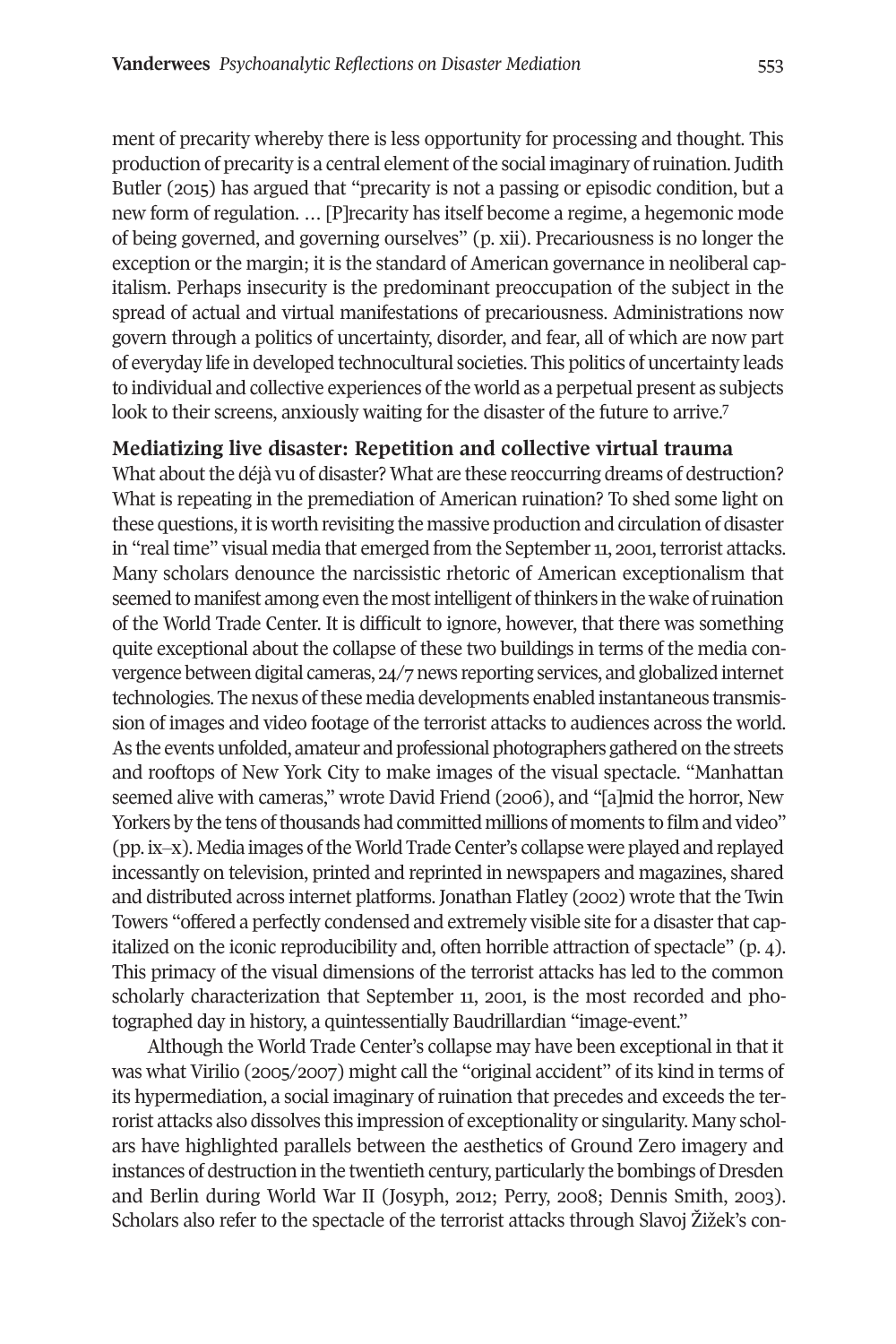ment of precarity whereby there is less opportunity for processing and thought. This production of precarity is a central element of the social imaginary of ruination. Judith Butler (2015) has argued that "precarity is not a passing or episodic condition, but a new form of regulation. … [P]recarity has itself become a regime, a hegemonic mode of being governed, and governing ourselves" (p. xii). Precariousness is no longer the exception or the margin; it is the standard of American governance in neoliberal capitalism. Perhaps insecurity is the predominant preoccupation of the subject in the spread of actual and virtual manifestations of precariousness. Administrations now govern through a politics of uncertainty, disorder, and fear, all of which are now part of everyday life in developed technocultural societies. This politics of uncertainty leads to individual and collective experiences of the world as a perpetual present as subjects look to their screens, anxiously waiting for the disaster of the future to arrive.<sup>[7](#page-17-5)</sup>

### **Mediatizing live disaster: Repetition and collective virtual trauma**

What about the déjà vu of disaster? What are these reoccurring dreams of destruction? What is repeating in the premediation of American ruination? To shed some light on these questions, it is worth revisiting the massive production and circulation of disaster in "real time" visual media that emerged from the September 11, 2001, terrorist attacks. Many scholars denounce the narcissistic rhetoric of American exceptionalism that seemed to manifest among even the most intelligent of thinkers in the wake of ruination of the World Trade Center. It is difficult to ignore, however, that there was something quite exceptional about the collapse of these two buildings in terms of the media convergence between digital cameras, 24/7 news reporting services, and globalized internet technologies. The nexus of these media developments enabled instantaneous transmission of images and video footage of the terrorist attacks to audiences across the world. As the events unfolded, amateur and professional photographers gathered on the streets and rooftops of New York City to make images of the visual spectacle. "Manhattan seemed alive with cameras," wrote David Friend (2006), and "[a]mid the horror, New Yorkers by the tens of thousands had committed millions of moments to film and video" (pp. ix‒x). Media images oftheWorld Trade Center's collapse were played and replayed incessantly on television, printed and reprinted in newspapers and magazines, shared and distributed across internet platforms. Jonathan Flatley (2002) wrote that the Twin Towers "offered a perfectly condensed and extremely visible site for a disasterthat capitalized on the iconic reproducibility and, often horrible attraction of spectacle" (p. 4). This primacy of the visual dimensions of the terrorist attacks has led to the common scholarly characterization that September 11, 2001, is the most recorded and photographed day in history, a quintessentially Baudrillardian "image-event."

Although the World Trade Center's collapse may have been exceptional in that it was what Virilio (2005/2007) might call the "original accident" of its kind in terms of its hypermediation, a social imaginary of ruination that precedes and exceeds the terrorist attacks also dissolves this impression of exceptionality or singularity. Many scholars have highlighted parallels between the aesthetics of Ground Zero imagery and instances of destruction in the twentieth century, particularly the bombings of Dresden and Berlin during World War II (Josyph, 2012; Perry, 2008; Dennis Smith, 2003). Scholars also refer to the spectacle of the terrorist attacks through Slavoj Žižek's con-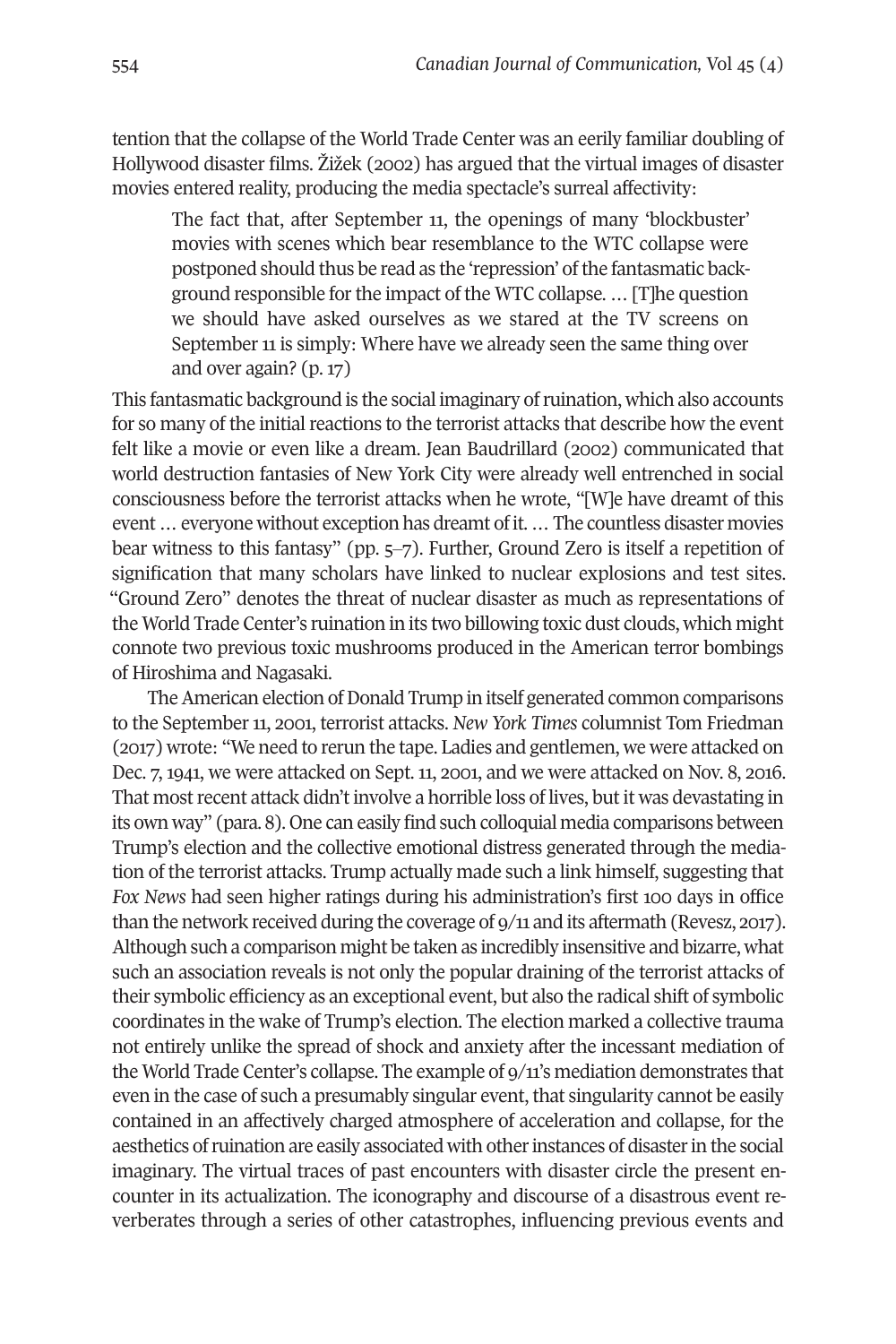tention that the collapse of the World Trade Center was an eerily familiar doubling of Hollywood disaster films. Žižek (2002) has argued that the virtual images of disaster movies entered reality, producing the media spectacle's surreal affectivity:

The fact that, after September 11, the openings of many 'blockbuster' movies with scenes which bear resemblance to the WTC collapse were postponed should thus be read as the 'repression' of the fantasmatic background responsible for the impact of the WTC collapse. ... [T]he question we should have asked ourselves as we stared at the TV screens on September 11 is simply: Where have we already seen the same thing over and over again? (p. 17)

This fantasmatic background is the social imaginary ofruination, which also accounts for so many of the initial reactions to the terrorist attacks that describe how the event felt like a movie or even like a dream. Jean Baudrillard (2002) communicated that world destruction fantasies of New York City were already well entrenched in social consciousness before the terrorist attacks when he wrote, "[W]e have dreamt of this event ... everyone without exception has dreamt of it. ... The countless disaster movies bear witness to this fantasy" (pp. 5‒7). Further, Ground Zero is itself a repetition of signification that many scholars have linked to nuclear explosions and test sites. "Ground Zero" denotes the threat of nuclear disaster as much as representations of the World Trade Center's ruination in its two billowing toxic dust clouds, which might connote two previous toxic mushrooms produced in the American terror bombings of Hiroshima and Nagasaki.

The American election of Donald Trump in itself generated common comparisons to the September 11, 2001, terrorist attacks. *New York Times* columnist Tom Friedman (2017) wrote: "We need to rerun the tape. Ladies and gentlemen, we were attacked on Dec. 7, 1941, we were attacked on Sept. 11, 2001, and we were attacked on Nov. 8, 2016. That mostrecent attack didn't involve a horrible loss of lives, but it was devastating in its own way" (para. 8). One can easily find such colloquial media comparisons between Trump's election and the collective emotional distress generated through the mediation of the terrorist attacks. Trump actually made such a link himself, suggesting that *Fox News* had seen higher ratings during his administration's first 100 days in office than the network received during the coverage of 9/11 and its aftermath (Revesz, 2017). Although such a comparison might be taken as incredibly insensitive and bizarre, what such an association reveals is not only the popular draining of the terrorist attacks of their symbolic efficiency as an exceptional event, but also the radical shift of symbolic coordinates in the wake of Trump's election. The election marked a collective trauma not entirely unlike the spread of shock and anxiety after the incessant mediation of the World Trade Center's collapse. The example of 9/11's mediation demonstrates that even in the case of such a presumably singular event, that singularity cannot be easily contained in an affectively charged atmosphere of acceleration and collapse, for the aesthetics ofruination are easily associated with otherinstances of disasterin the social imaginary. The virtual traces of past encounters with disaster circle the present encounter in its actualization. The iconography and discourse of a disastrous event reverberates through a series of other catastrophes, influencing previous events and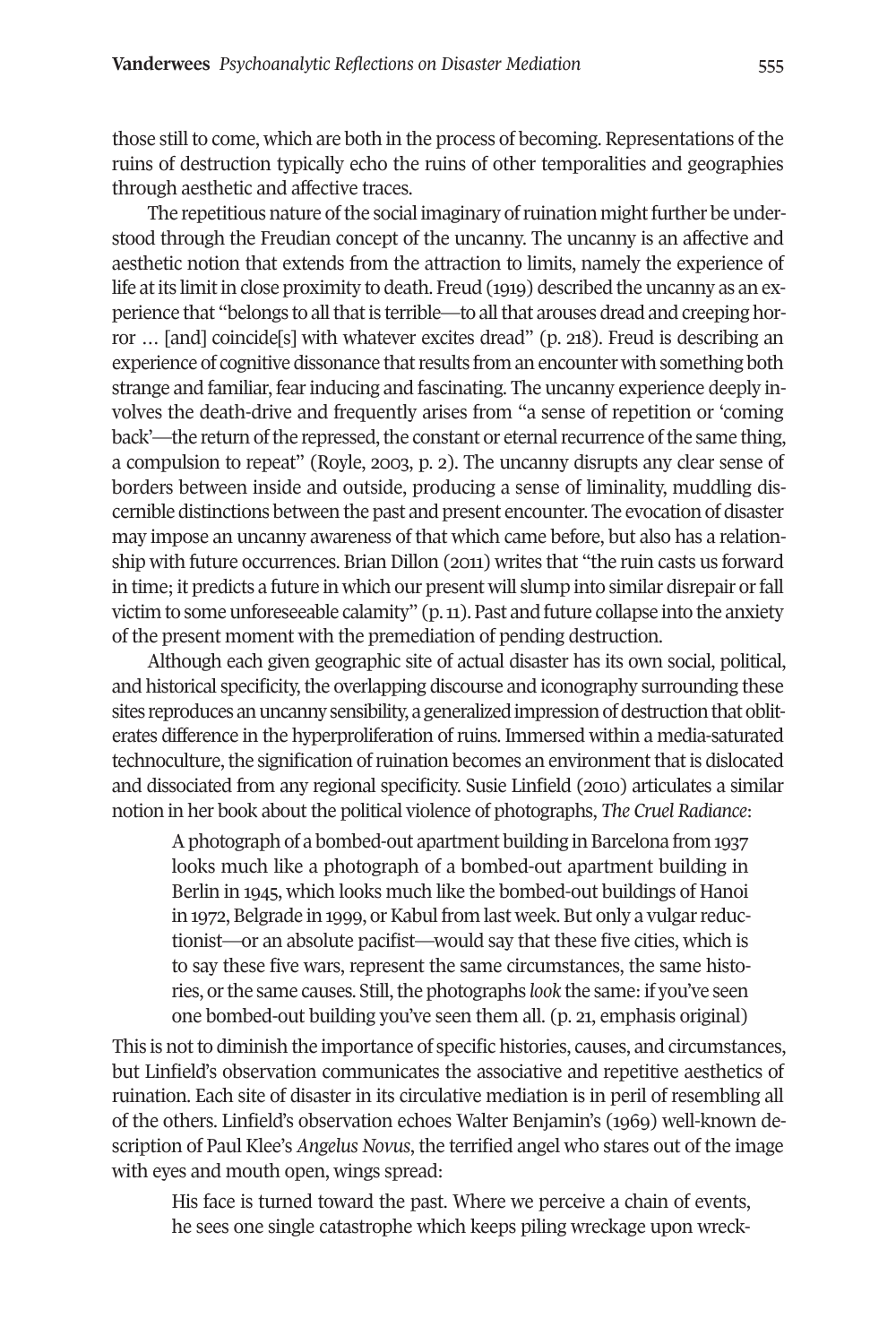those still to come, which are both in the process of becoming. Representations of the ruins of destruction typically echo the ruins of other temporalities and geographies through aesthetic and affective traces.

The repetitious nature of the social imaginary of ruination might further be understood through the Freudian concept of the uncanny. The uncanny is an affective and aesthetic notion that extends from the attraction to limits, namely the experience of life at its limit in close proximity to death. Freud (1919) described the uncanny as an experience that "belongs to all that is terrible—to all that arouses dread and creeping horror ... [and] coincide[s] with whatever excites dread" (p. 218). Freud is describing an experience of cognitive dissonance that results from an encounter with something both strange and familiar, fearinducing and fascinating. The uncanny experience deeply involves the death-drive and frequently arises from "a sense of repetition or 'coming back'—the return of the repressed, the constant or eternal recurrence of the same thing, a compulsion to repeat" (Royle, 2003, p. 2). The uncanny disrupts any clear sense of borders between inside and outside, producing a sense of liminality, muddling discernible distinctions between the past and present encounter. The evocation of disaster may impose an uncanny awareness of that which came before, but also has a relationship with future occurrences. Brian Dillon (2011) writes that "the ruin casts us forward in time; it predicts a future in which our present will slump into similar disrepair or fall victim to some unforeseeable calamity"  $(p, n)$ . Past and future collapse into the anxiety of the present moment with the premediation of pending destruction.

Although each given geographic site of actual disaster has its own social, political, and historical specificity, the overlapping discourse and iconography surrounding these sites reproduces an uncanny sensibility, a generalized impression of destruction that obliterates difference in the hyperproliferation of ruins. Immersed within a media-saturated technoculture, the signification of ruination becomes an environment that is dislocated and dissociated from any regional specificity. Susie Linfield (2010) articulates a similar notion in her book about the political violence of photographs, *The Cruel Radiance*:

A photograph of a bombed-out apartment building in Barcelona from 1937 looks much like a photograph of a bombed-out apartment building in Berlin in 1945, which looks much like the bombed-out buildings of Hanoi in 1972, Belgrade in 1999, or Kabul from last week. But only a vulgar reductionist—or an absolute pacifist—would say that these five cities, which is to say these five wars, represent the same circumstances, the same histories, or the same causes. Still, the photographs *look* the same: if you've seen one bombed-out building you've seen them all. (p. 21, emphasis original)

This is not to diminish the importance of specific histories, causes, and circumstances, but Linfield's observation communicates the associative and repetitive aesthetics of ruination. Each site of disaster in its circulative mediation is in peril of resembling all of the others. Linfield's observation echoes Walter Benjamin's (1969) well-known description of Paul Klee's *Angelus Novus*, the terrified angel who stares out of the image with eyes and mouth open, wings spread:

His face is turned toward the past. Where we perceive a chain of events, he sees one single catastrophe which keeps piling wreckage upon wreck-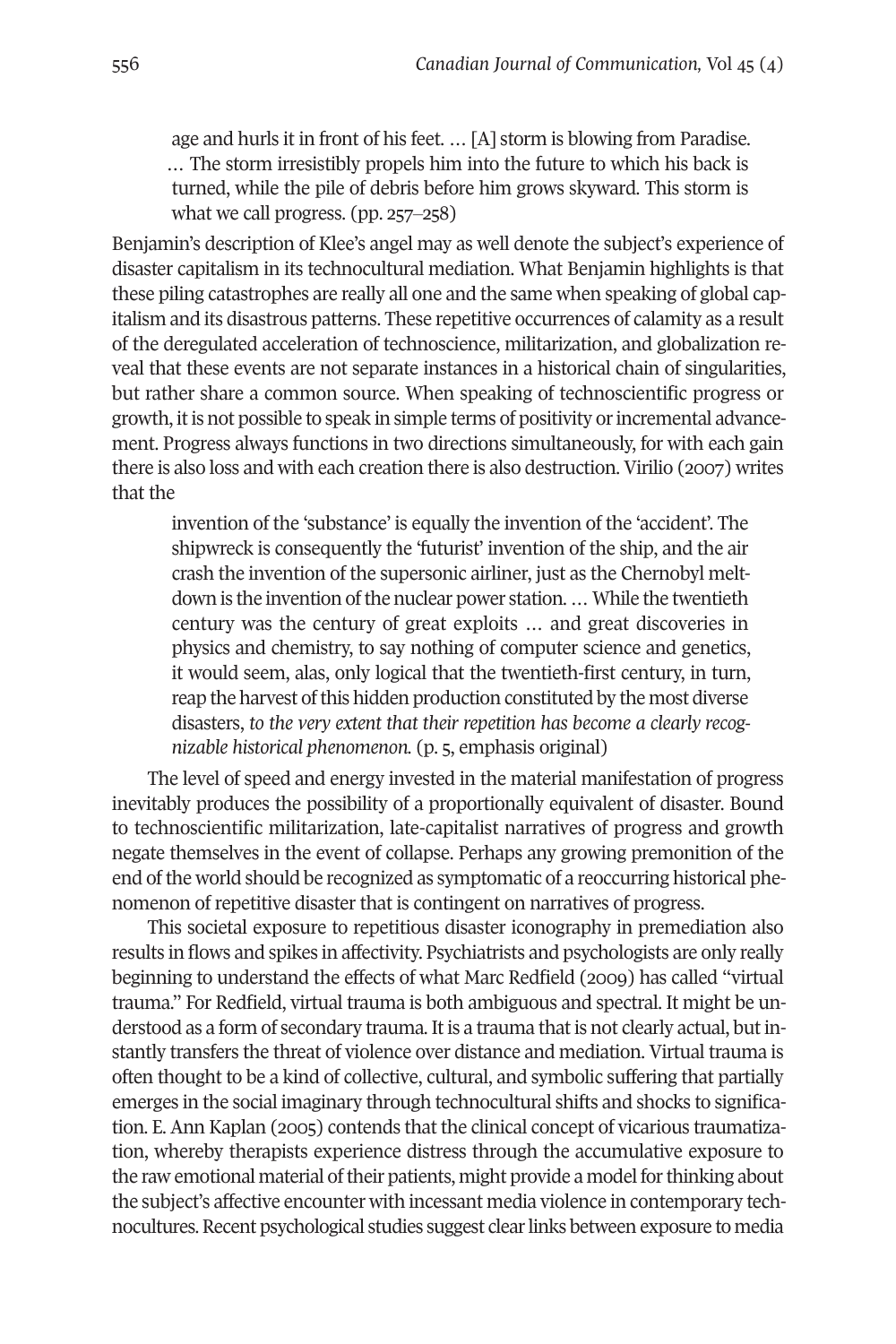age and hurls it in front of his feet. … [A] storm is blowing from Paradise. … The storm irresistibly propels him into the future to which his back is turned, while the pile of debris before him grows skyward. This storm is what we call progress.  $(pp. 257-258)$ 

Benjamin's description of Klee's angel may as well denote the subject's experience of disaster capitalism in its technocultural mediation. What Benjamin highlights is that these piling catastrophes are really all one and the same when speaking of global capitalism and its disastrous patterns. These repetitive occurrences of calamity as a result of the deregulated acceleration of technoscience, militarization, and globalization reveal that these events are not separate instances in a historical chain of singularities, but rather share a common source. When speaking of technoscientific progress or growth, it is not possible to speak in simple terms of positivity or incremental advancement. Progress always functions in two directions simultaneously, for with each gain there is also loss and with each creation there is also destruction. Virilio (2007) writes that the

invention of the 'substance' is equally the invention of the 'accident'. The shipwreck is consequently the 'futurist' invention of the ship, and the air crash the invention of the supersonic airliner, just as the Chernobyl meltdown is the invention of the nuclear power station. ... While the twentieth century was the century of great exploits … and great discoveries in physics and chemistry, to say nothing of computer science and genetics, it would seem, alas, only logical that the twentieth-first century, in turn, reap the harvest of this hidden production constituted by the most diverse disasters, *to the very extent that their repetition has become a clearly recognizable historical phenomenon.* (p. 5, emphasis original)

The level of speed and energy invested in the material manifestation of progress inevitably produces the possibility of a proportionally equivalent of disaster. Bound to technoscientific militarization, late-capitalist narratives of progress and growth negate themselves in the event of collapse. Perhaps any growing premonition of the end ofthe world should be recognized as symptomatic of a reoccurring historical phenomenon of repetitive disaster that is contingent on narratives of progress.

This societal exposure to repetitious disaster iconography in premediation also results in flows and spikes in affectivity. Psychiatrists and psychologists are only really beginning to understand the effects of what Marc Redfield (2009) has called "virtual trauma." For Redfield, virtual trauma is both ambiguous and spectral. It might be understood as a form of secondary trauma. It is a trauma that is not clearly actual, but instantly transfers the threat of violence over distance and mediation. Virtual trauma is often thought to be a kind of collective, cultural, and symbolic suffering that partially emerges in the social imaginary through technocultural shifts and shocks to signification. E. Ann Kaplan (2005) contends that the clinical concept of vicarious traumatization, whereby therapists experience distress through the accumulative exposure to the raw emotional material of their patients, might provide a model for thinking about the subject's affective encounter with incessant media violence in contemporary technocultures.Recent psychological studies suggest clearlinks between exposure to media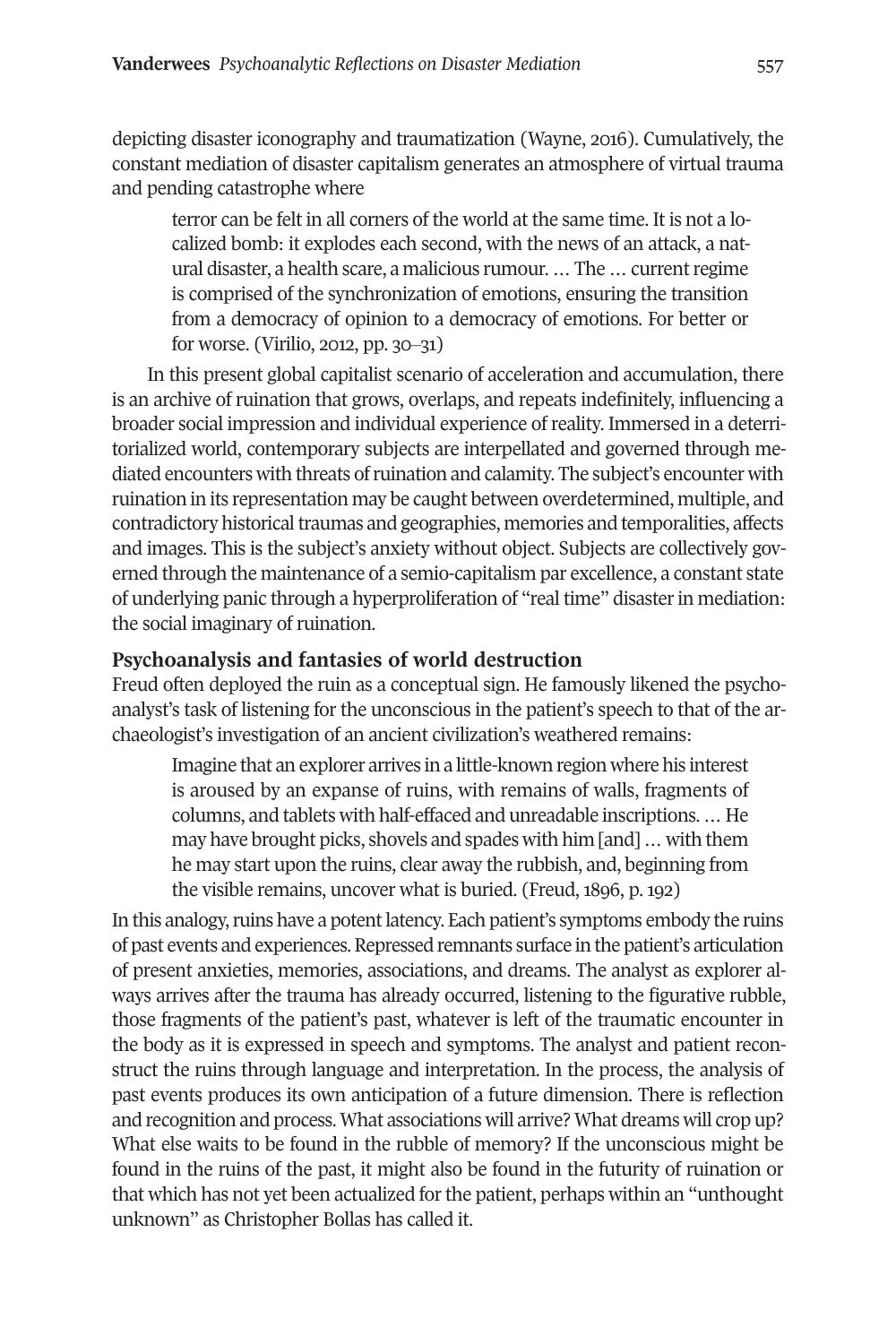depicting disaster iconography and traumatization (Wayne, 2016). Cumulatively, the constant mediation of disaster capitalism generates an atmosphere of virtual trauma and pending catastrophe where

terror can be felt in all corners of the world at the same time. It is not a localized bomb: it explodes each second, with the news of an attack, a natural disaster, a health scare, a malicious rumour. ... The ... current regime is comprised of the synchronization of emotions, ensuring the transition from a democracy of opinion to a democracy of emotions. For better or for worse. (Virilio, 2012, pp. 30‒31)

In this present global capitalist scenario of acceleration and accumulation, there is an archive of ruination that grows, overlaps, and repeats indefinitely, influencing a broader social impression and individual experience of reality. Immersed in a deterritorialized world, contemporary subjects are interpellated and governed through mediated encounters with threats ofruination and calamity. The subject's encounter with ruination in its representation may be caught between overdetermined, multiple, and contradictory historical traumas and geographies, memories and temporalities, affects and images. This is the subject's anxiety without object. Subjects are collectively governed through the maintenance of a semio-capitalism par excellence, a constant state of underlying panic through a hyperproliferation of "real time" disasterin mediation: the social imaginary of ruination.

# **Psychoanalysis and fantasies of world destruction**

Freud often deployed the ruin as a conceptual sign. He famously likened the psychoanalyst's task of listening for the unconscious in the patient's speech to that of the archaeologist's investigation of an ancient civilization's weathered remains:

Imagine that an explorer arrives in a little-known region where his interest is aroused by an expanse of ruins, with remains of walls, fragments of columns, and tablets with half-effaced and unreadable inscriptions. … He may have brought picks, shovels and spades with him [and] … with them he may start upon the ruins, clear away the rubbish, and, beginning from the visible remains, uncover what is buried. (Freud, 1896, p. 192)

In this analogy, ruins have a potent latency. Each patient's symptoms embody the ruins of past events and experiences.Repressed remnants surface in the patient's articulation of present anxieties, memories, associations, and dreams. The analyst as explorer always arrives after the trauma has already occurred, listening to the figurative rubble, those fragments of the patient's past, whatever is left of the traumatic encounter in the body as it is expressed in speech and symptoms. The analyst and patient reconstruct the ruins through language and interpretation. In the process, the analysis of past events produces its own anticipation of a future dimension. There is reflection and recognition and process. What associations will arrive? What dreams will crop up? What else waits to be found in the rubble of memory? If the unconscious might be found in the ruins of the past, it might also be found in the futurity of ruination or that which has not yet been actualized forthe patient, perhaps within an "unthought unknown" as Christopher Bollas has called it.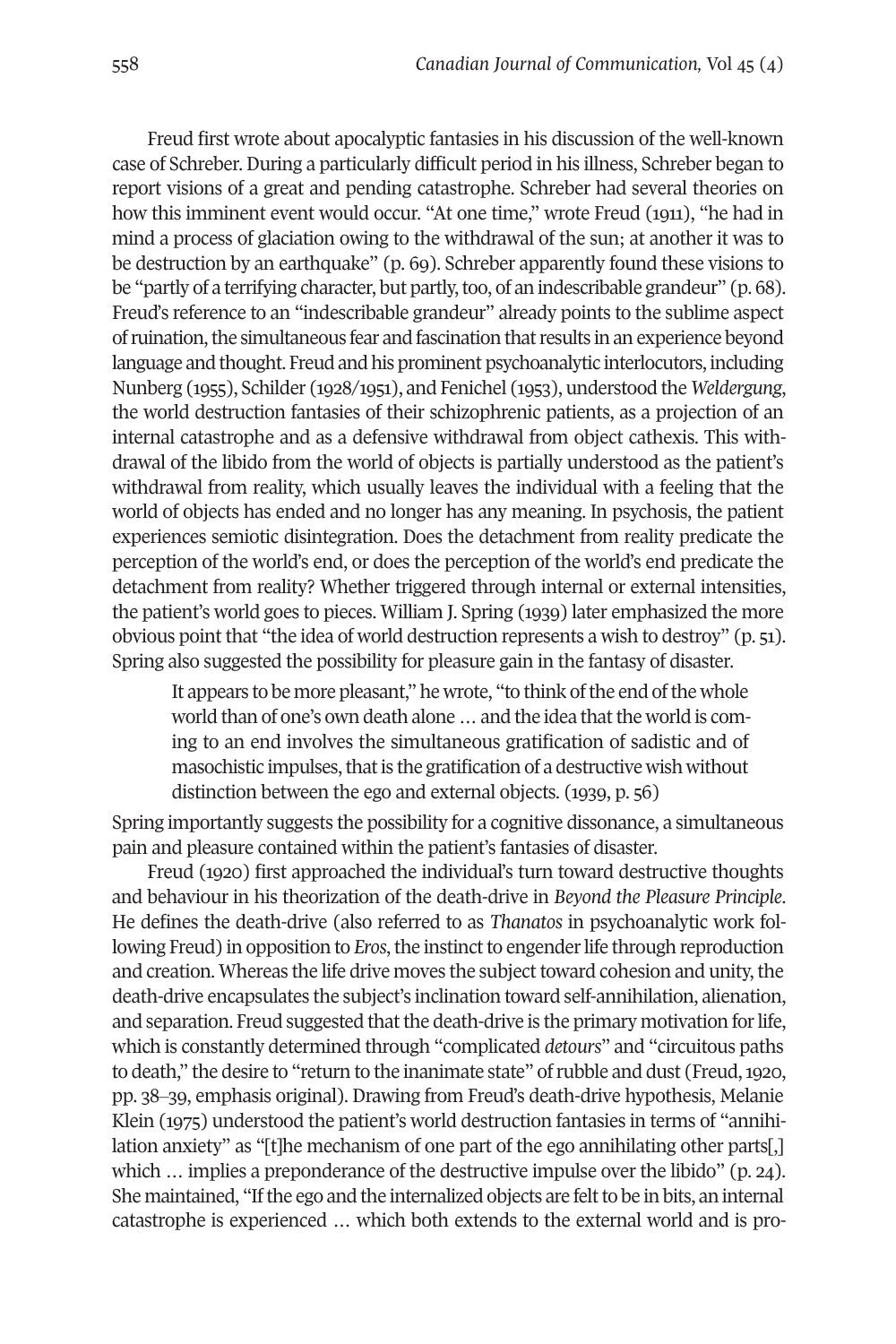Freud first wrote about apocalyptic fantasies in his discussion of the well-known case of Schreber. During a particularly difficult period in his illness, Schreber began to report visions of a great and pending catastrophe. Schreber had several theories on how this imminent event would occur. "At one time," wrote Freud (1911), "he had in mind a process of glaciation owing to the withdrawal of the sun; at another it was to be destruction by an earthquake" (p. 69). Schreber apparently found these visions to be "partly of a terrifying character, but partly, too, of an indescribable grandeur" (p. 68). Freud's reference to an "indescribable grandeur" already points to the sublime aspect ofruination,the simultaneous fear and fascination thatresults in an experience beyond language and thought. Freud and his prominent psychoanalytic interlocutors, including Nunberg (1955), Schilder (1928/1951), and Fenichel (1953), understood the *Weldergung*, the world destruction fantasies of their schizophrenic patients, as a projection of an internal catastrophe and as a defensive withdrawal from object cathexis. This withdrawal of the libido from the world of objects is partially understood as the patient's withdrawal from reality, which usually leaves the individual with a feeling that the world of objects has ended and no longer has any meaning. In psychosis, the patient experiences semiotic disintegration. Does the detachment from reality predicate the perception of the world's end, or does the perception of the world's end predicate the detachment from reality? Whether triggered through internal or external intensities, the patient's world goes to pieces. William J. Spring (1939) later emphasized the more obvious point that "the idea of world destruction represents a wish to destroy" (p. 51). Spring also suggested the possibility for pleasure gain in the fantasy of disaster.

It appears to be more pleasant," he wrote, "to think of the end of the whole world than of one's own death alone ... and the idea that the world is coming to an end involves the simultaneous gratification of sadistic and of masochistic impulses, that is the gratification of a destructive wish without distinction between the ego and external objects. (1939, p. 56)

Spring importantly suggests the possibility for a cognitive dissonance, a simultaneous pain and pleasure contained within the patient's fantasies of disaster.

Freud (1920) first approached the individual's turn toward destructive thoughts and behaviour in his theorization of the death-drive in *Beyond the Pleasure Principle*. He defines the death-drive (also referred to as *Thanatos* in psychoanalytic work following Freud) in opposition to *Eros*, the instinct to engender life through reproduction and creation. Whereas the life drive moves the subject toward cohesion and unity, the death-drive encapsulates the subject's inclination toward self-annihilation, alienation, and separation. Freud suggested that the death-drive is the primary motivation for life, which is constantly determined through "complicated *detours*" and "circuitous paths to death," the desire to "return to the inanimate state" ofrubble and dust (Freud,1920, pp. 38‒39, emphasis original). Drawing from Freud's death-drive hypothesis, Melanie Klein (1975) understood the patient's world destruction fantasies in terms of "annihilation anxiety" as "[t]he mechanism of one part of the ego annihilating other parts[,] which ... implies a preponderance of the destructive impulse over the libido" (p. 24). She maintained, "If the ego and the internalized objects are felt to be in bits, an internal catastrophe is experienced … which both extends to the external world and is pro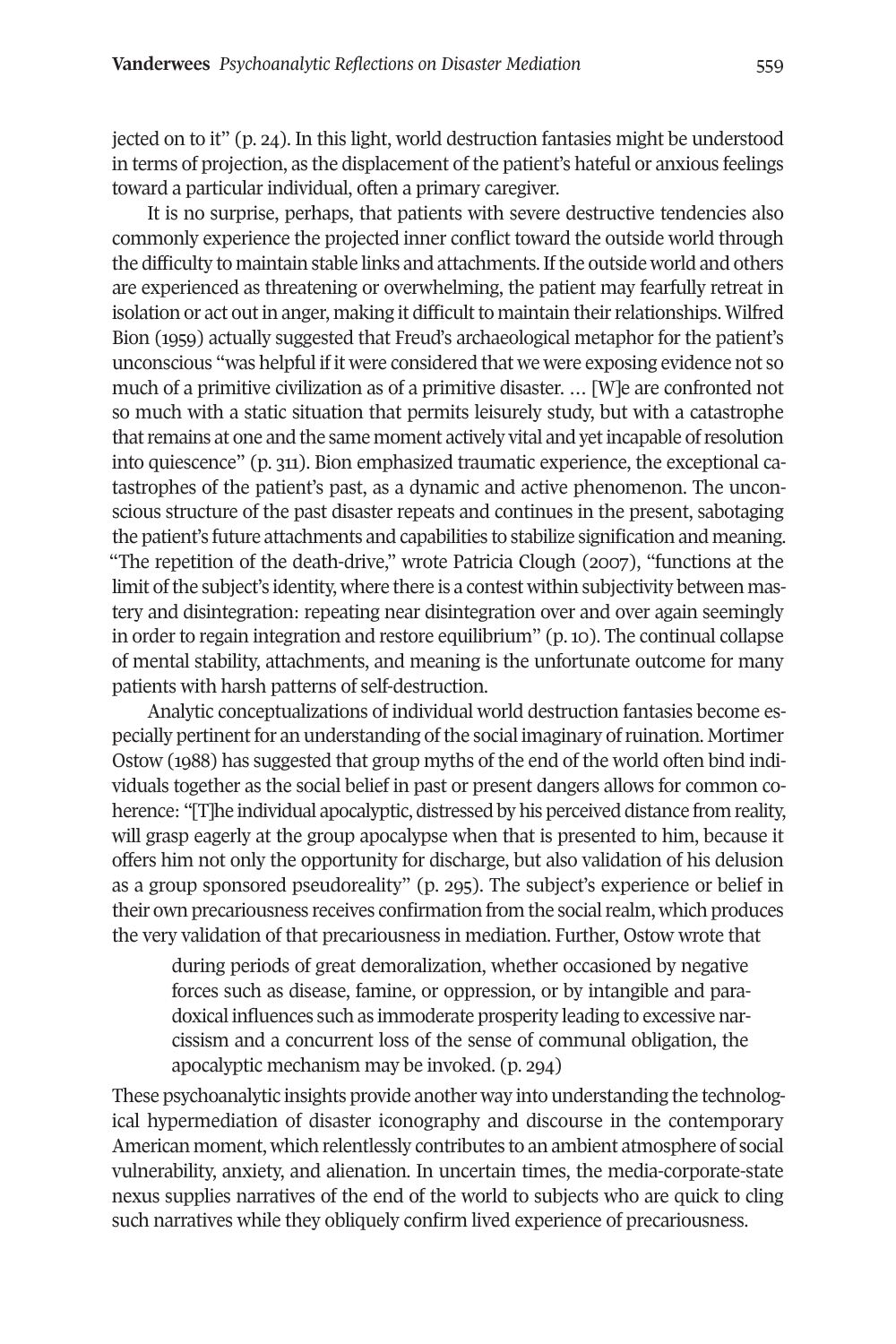jected on to it" (p. 24). In this light, world destruction fantasies might be understood in terms of projection, as the displacement of the patient's hateful or anxious feelings toward a particular individual, often a primary caregiver.

It is no surprise, perhaps, that patients with severe destructive tendencies also commonly experience the projected inner conflict toward the outside world through the difficulty to maintain stable links and attachments.Ifthe outside world and others are experienced as threatening or overwhelming, the patient may fearfully retreat in isolation or act out in anger, making it difficult to maintain their relationships. Wilfred Bion (1959) actually suggested that Freud's archaeological metaphor for the patient's unconscious "was helpful if it were considered that we were exposing evidence not so much of a primitive civilization as of a primitive disaster. … [W]e are confronted not so much with a static situation that permits leisurely study, but with a catastrophe that remains at one and the same moment actively vital and yet incapable of resolution into quiescence" (p. 311). Bion emphasized traumatic experience, the exceptional catastrophes of the patient's past, as a dynamic and active phenomenon. The unconscious structure of the past disaster repeats and continues in the present, sabotaging the patient's future attachments and capabilities to stabilize signification and meaning. "The repetition of the death-drive," wrote Patricia Clough (2007), "functions at the limit of the subject's identity, where there is a contest within subjectivity between mastery and disintegration: repeating near disintegration over and over again seemingly in order to regain integration and restore equilibrium" (p. 10). The continual collapse of mental stability, attachments, and meaning is the unfortunate outcome for many patients with harsh patterns of self-destruction.

Analytic conceptualizations of individual world destruction fantasies become especially pertinent for an understanding of the social imaginary of ruination. Mortimer Ostow (1988) has suggested that group myths of the end of the world often bind individuals together as the social belief in past or present dangers allows for common coherence: "[T]he individual apocalyptic, distressed by his perceived distance from reality, will grasp eagerly at the group apocalypse when that is presented to him, because it offers him not only the opportunity for discharge, but also validation of his delusion as a group sponsored pseudoreality" (p. 295). The subject's experience or belief in their own precariousness receives confirmation from the social realm, which produces the very validation of that precariousness in mediation. Further, Ostow wrote that

during periods of great demoralization, whether occasioned by negative forces such as disease, famine, or oppression, or by intangible and paradoxical influences such as immoderate prosperity leading to excessive narcissism and a concurrent loss of the sense of communal obligation, the apocalyptic mechanism may be invoked. (p. 294)

These psychoanalytic insights provide another way into understanding the technological hypermediation of disaster iconography and discourse in the contemporary American moment, which relentlessly contributes to an ambient atmosphere of social vulnerability, anxiety, and alienation. In uncertain times, the media-corporate-state nexus supplies narratives of the end of the world to subjects who are quick to cling such narratives while they obliquely confirm lived experience of precariousness.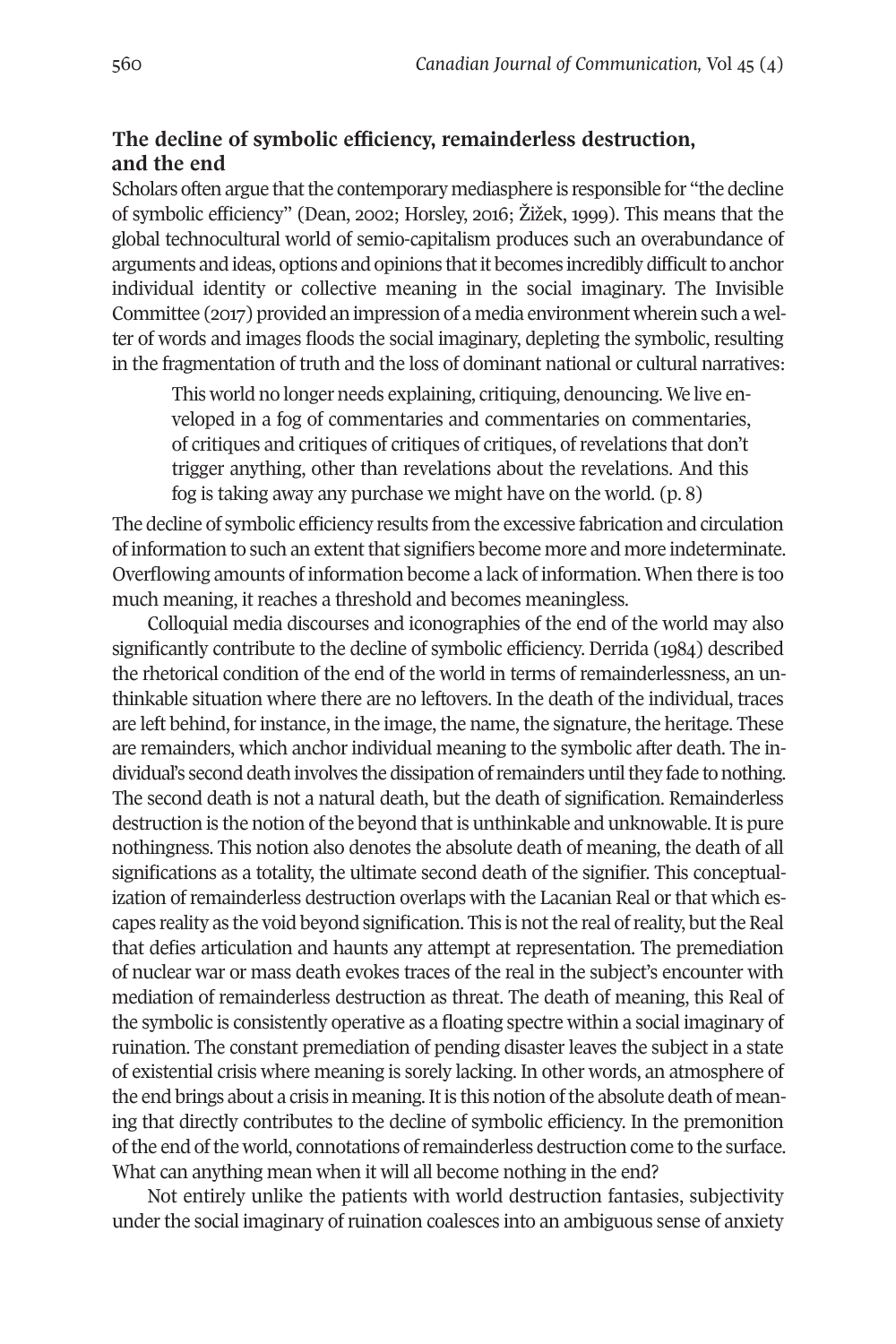# **The decline of symbolic efficiency, remainderless destruction, and the end**

Scholars often argue that the contemporary mediasphere is responsible for "the decline of symbolic efficiency" (Dean, 2002; Horsley, 2016; Žižek, 1999). This means that the global technocultural world of semio-capitalism produces such an overabundance of arguments and ideas, options and opinions that it becomes incredibly difficult to anchor individual identity or collective meaning in the social imaginary. The Invisible Committee (2017) provided an impression of a media environment wherein such a welter of words and images floods the social imaginary, depleting the symbolic, resulting in the fragmentation of truth and the loss of dominant national or cultural narratives:

This world no longer needs explaining, critiquing, denouncing. We live enveloped in a fog of commentaries and commentaries on commentaries, of critiques and critiques of critiques of critiques, ofrevelations that don't trigger anything, other than revelations about the revelations. And this fog is taking away any purchase we might have on the world. (p. 8)

The decline of symbolic efficiency results from the excessive fabrication and circulation of information to such an extent that signifiers become more and more indeterminate. Overflowing amounts of information become a lack of information. When there is too much meaning, it reaches a threshold and becomes meaningless.

Colloquial media discourses and iconographies of the end of the world may also significantly contribute to the decline of symbolic efficiency. Derrida (1984) described the rhetorical condition of the end of the world in terms of remainderlessness, an unthinkable situation where there are no leftovers. In the death of the individual, traces are left behind, for instance, in the image, the name, the signature, the heritage. These are remainders, which anchor individual meaning to the symbolic after death. The individual's second death involves the dissipation of remainders until they fade to nothing. The second death is not a natural death, but the death of signification. Remainderless destruction is the notion of the beyond that is unthinkable and unknowable. It is pure nothingness. This notion also denotes the absolute death of meaning, the death of all significations as a totality, the ultimate second death of the signifier. This conceptualization of remainderless destruction overlaps with the Lacanian Real or that which escapes reality as the void beyond signification. This is notthe real ofreality, butthe Real that defies articulation and haunts any attempt at representation. The premediation of nuclear war or mass death evokes traces of the real in the subject's encounter with mediation of remainderless destruction as threat. The death of meaning, this Real of the symbolic is consistently operative as a floating spectre within a social imaginary of ruination. The constant premediation of pending disaster leaves the subject in a state of existential crisis where meaning is sorely lacking. In other words, an atmosphere of the end brings about a crisis in meaning. It is this notion of the absolute death of meaning that directly contributes to the decline of symbolic efficiency. In the premonition ofthe end ofthe world, connotations ofremainderless destruction come to the surface. What can anything mean when it will all become nothing in the end?

Not entirely unlike the patients with world destruction fantasies, subjectivity under the social imaginary of ruination coalesces into an ambiguous sense of anxiety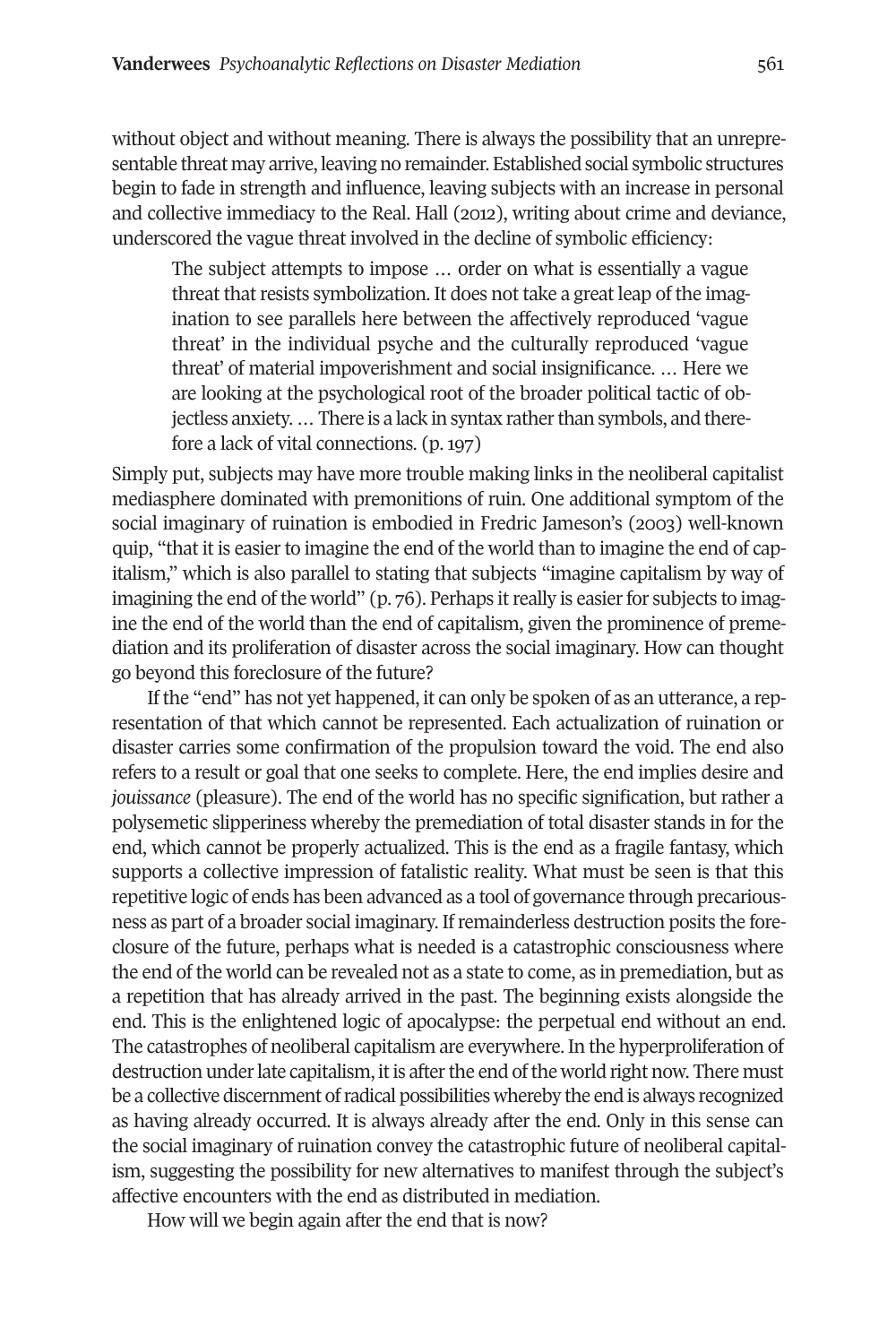without object and without meaning. There is always the possibility that an unrepresentable threat may arrive, leaving no remainder. Established social symbolic structures begin to fade in strength and influence, leaving subjects with an increase in personal and collective immediacy to the Real. Hall (2012), writing about crime and deviance, underscored the vague threat involved in the decline of symbolic efficiency:

The subject attempts to impose … order on what is essentially a vague threat that resists symbolization. It does not take a great leap of the imagination to see parallels here between the affectively reproduced 'vague threat' in the individual psyche and the culturally reproduced 'vague threat' of material impoverishment and social insignificance. … Here we are looking at the psychological root of the broader political tactic of objectless anxiety.... There is a lack in syntax rather than symbols, and therefore a lack of vital connections. (p. 197)

Simply put, subjects may have more trouble making links in the neoliberal capitalist mediasphere dominated with premonitions of ruin. One additional symptom of the social imaginary of ruination is embodied in Fredric Jameson's (2003) well-known quip, "that it is easier to imagine the end of the world than to imagine the end of capitalism," which is also parallel to stating that subjects "imagine capitalism by way of imagining the end of the world"  $(p, 76)$ . Perhaps it really is easier for subjects to imagine the end of the world than the end of capitalism, given the prominence of premediation and its proliferation of disaster across the social imaginary. How can thought go beyond this foreclosure of the future?

If the "end" has not yet happened, it can only be spoken of as an utterance, a representation of that which cannot be represented. Each actualization of ruination or disaster carries some confirmation of the propulsion toward the void. The end also refers to a result or goal that one seeks to complete. Here, the end implies desire and *jouissance* (pleasure). The end of the world has no specific signification, but rather a polysemetic slipperiness whereby the premediation of total disaster stands in for the end, which cannot be properly actualized. This is the end as a fragile fantasy, which supports a collective impression of fatalistic reality. What must be seen is that this repetitive logic of ends has been advanced as a tool of governance through precariousness as part of a broader social imaginary. Ifremainderless destruction posits the foreclosure of the future, perhaps what is needed is a catastrophic consciousness where the end of the world can be revealed not as a state to come, as in premediation, but as a repetition that has already arrived in the past. The beginning exists alongside the end. This is the enlightened logic of apocalypse: the perpetual end without an end. The catastrophes of neoliberal capitalism are everywhere. In the hyperproliferation of destruction under late capitalism, it is after the end of the world right now. There must be a collective discernment ofradical possibilities whereby the end is always recognized as having already occurred. It is always already after the end. Only in this sense can the social imaginary of ruination convey the catastrophic future of neoliberal capitalism, suggesting the possibility for new alternatives to manifest through the subject's affective encounters with the end as distributed in mediation.

How will we begin again after the end that is now?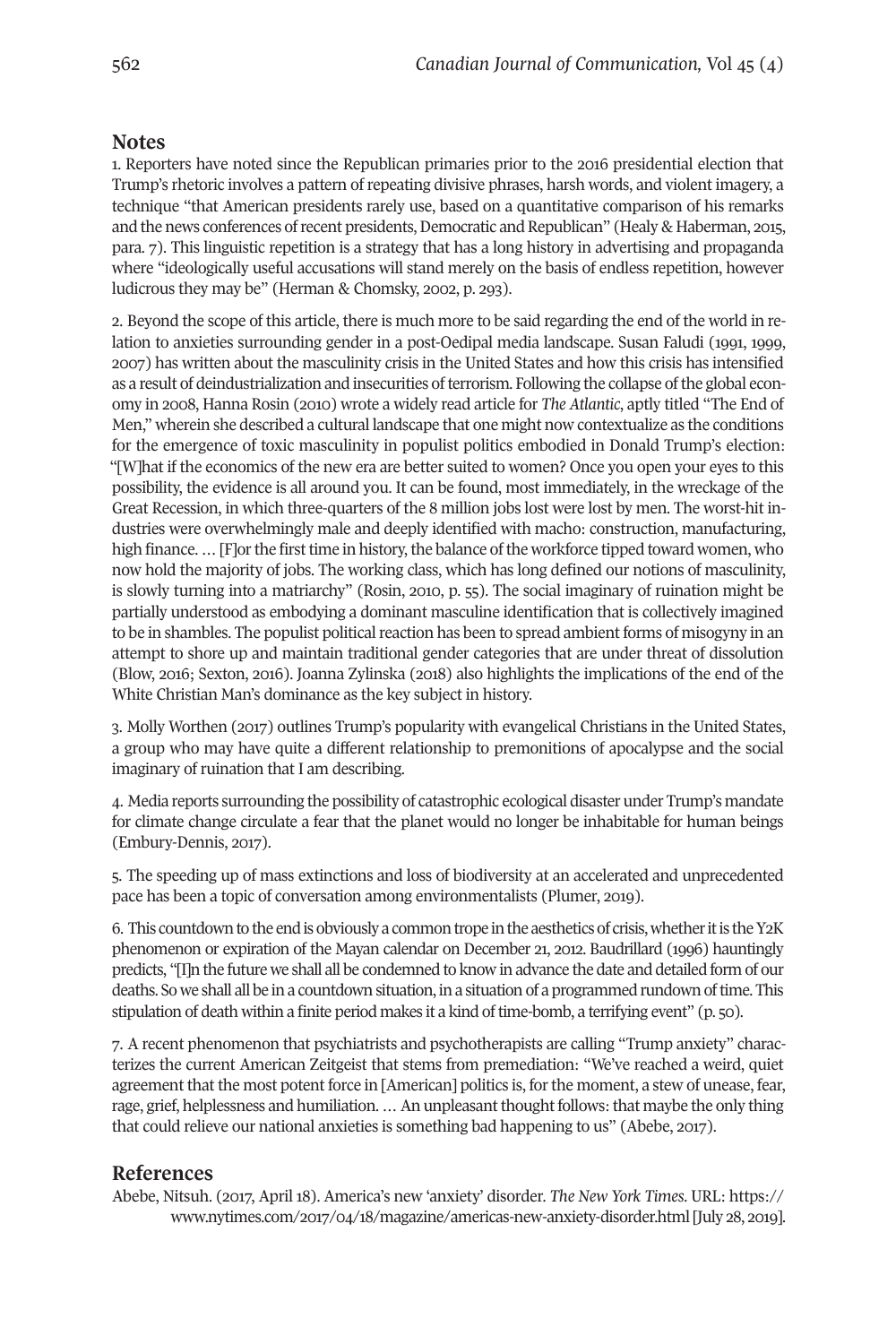### <span id="page-17-0"></span>**Notes**

1. Reporters have noted since the Republican primaries prior to the 2016 presidential election that Trump's rhetoric involves a pattern of repeating divisive phrases, harsh words, and violent imagery, a technique "that American presidents rarely use, based on a quantitative comparison of his remarks and the news conferences of recent presidents, Democratic and Republican" (Healy & Haberman, 2015, para. 7). This linguistic repetition is a strategy that has a long history in advertising and propaganda where "ideologically useful accusations will stand merely on the basis of endless repetition, however ludicrous they may be" (Herman & Chomsky, 2002, p. 293).

2. Beyond the scope of this article, there is much more to be said regarding the end of the world in relation to anxieties surrounding gender in a post-Oedipal media landscape. Susan Faludi (1991, 1999, 2007) has written about the masculinity crisis in the United States and how this crisis has intensified as a result of deindustrialization and insecurities of terrorism. Following the collapse of the global economy in 2008, Hanna Rosin (2010) wrote a widely read article for *The Atlantic*, aptly titled "The End of Men," wherein she described a cultural landscape that one might now contextualize as the conditions for the emergence of toxic masculinity in populist politics embodied in Donald Trump's election: "[W]hat if the economics of the new era are better suited to women? Once you open your eyes to this possibility, the evidence is all around you. It can be found, most immediately, in the wreckage of the Great Recession, in which three-quarters of the 8 million jobs lost were lost by men. The worst-hit industries were overwhelmingly male and deeply identified with macho: construction, manufacturing, high finance. ... [F]or the first time in history, the balance of the workforce tipped toward women, who now hold the majority of jobs. The working class, which has long defined our notions of masculinity, is slowly turning into a matriarchy" (Rosin, 2010, p. 55). The social imaginary of ruination might be partially understood as embodying a dominant masculine identification that is collectively imagined to be in shambles. The populist political reaction has been to spread ambient forms of misogyny in an attempt to shore up and maintain traditional gender categories that are under threat of dissolution (Blow, 2016; Sexton, 2016). Joanna Zylinska (2018) also highlights the implications of the end of the White Christian Man's dominance as the key subject in history.

<span id="page-17-1"></span>3. Molly Worthen (2017) outlines Trump's popularity with evangelical Christians in the United States, a group who may have quite a different relationship to premonitions of apocalypse and the social imaginary of ruination that I am describing.

<span id="page-17-2"></span>4. Media reports surrounding the possibility of catastrophic ecological disaster under Trump's mandate for climate change circulate a fear that the planet would no longer be inhabitable for human beings (Embury-Dennis, 2017).

<span id="page-17-3"></span>5. The speeding up of mass extinctions and loss of biodiversity at an accelerated and unprecedented pace has been a topic of conversation among environmentalists (Plumer, 2019).

<span id="page-17-4"></span>6. This countdown to the end is obviously a common trope in the aesthetics of crisis, whether it is the Y2K phenomenon or expiration of the Mayan calendar on December 21, 2012. Baudrillard (1996) hauntingly predicts, "[I]n the future we shall all be condemned to know in advance the date and detailed form of our deaths. So we shall all be in a countdown situation, in a situation of a programmed rundown oftime. This stipulation of death within a finite period makes it a kind of time-bomb, a terrifying event" (p. 50).

<span id="page-17-5"></span>7. A recent phenomenon that psychiatrists and psychotherapists are calling "Trump anxiety" characterizes the current American Zeitgeist that stems from premediation: "We've reached a weird, quiet agreement that the most potent force in [American] politics is, forthe moment, a stew of unease, fear, rage, grief, helplessness and humiliation. ... An unpleasant thought follows: that maybe the only thing that could relieve our national anxieties is something bad happening to us" (Abebe, 2017).

#### **References**

Abebe, Nitsuh. (2017, April 18). America's new 'anxiety' disorder. *The New York Times*. URL: [https://](https://www.nytimes.com/2017/04/18/magazine/americas-new-anxiety-disorder.html) [www.nytimes.com/2017/04/18/magazine/americas-new-anxiety-disorder.html](https://www.nytimes.com/2017/04/18/magazine/americas-new-anxiety-disorder.html)[July 28, 2019].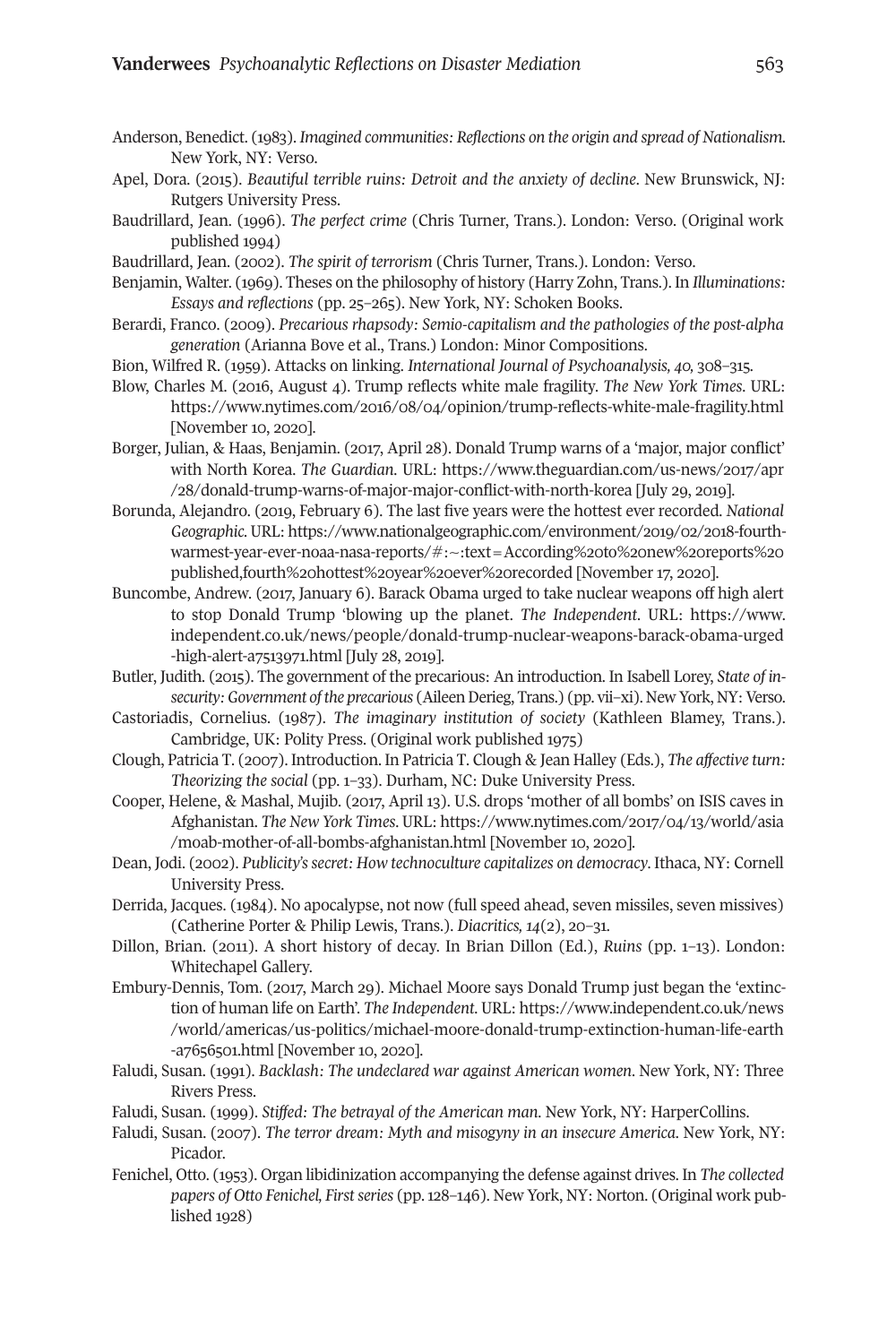- Anderson, Benedict. (1983). *Imagined communities: Reflections on the origin and spread ofNationalism*. New York, NY: Verso.
- Apel, Dora. (2015). *Beautiful terrible ruins: Detroit and the anxiety of decline*. New Brunswick, NJ: Rutgers University Press.
- Baudrillard, Jean. (1996). *The perfect crime* (Chris Turner, Trans.). London: Verso. (Original work published 1994)
- Baudrillard, Jean. (2002). *The spirit of terrorism* (Chris Turner, Trans.). London: Verso.
- Benjamin, Walter. (1969). Theses on the philosophy of history (Harry Zohn, Trans.). In *Illuminations: Essays and reflections* (pp. 25–265). New York, NY: Schoken Books.
- Berardi, Franco. (2009). *Precarious rhapsody: Semio-capitalism and the pathologies of the post-alpha generation* (Arianna Bove et al., Trans.) London: Minor Compositions.
- Bion, Wilfred R. (1959). Attacks on linking. *International Journal of Psychoanalysis, 40,* 308–315.
- Blow, Charles M. (2016, August 4). Trump reflects white male fragility. *The New York Times*. URL: <https://www.nytimes.com/2016/08/04/opinion/trump-reflects-white-male-fragility.html> [November 10, 2020].
- Borger, Julian, & Haas, Benjamin. (2017, April 28). Donald Trump warns of a 'major, major conflict' with North Korea. *The Guardian*. URL: [https://www.theguardian.com/us-news/2017/apr](https://www.theguardian.com/us-news/2017/apr/28/donald-trump-warns-of-major-major-conflict-with-north-korea) [/28/donald-trump-warns-of-major-major-conflict-with-north-korea](https://www.theguardian.com/us-news/2017/apr/28/donald-trump-warns-of-major-major-conflict-with-north-korea) [July 29, 2019].
- Borunda, Alejandro. (2019, February 6). The last five years were the hottest ever recorded. *National Geographic*. URL: [https://www.nationalgeographic.com/environment/2019/02/2018-fourth](https://www.nationalgeographic.com/environment/2019/02/2018-fourth-warmest-year-ever-noaa-nasa-reports/#:~:text=According%20to%20new%20reports%20 published,fourth%20hottest%20year%20ever%20recorded)[warmest-year-ever-noaa-nasa-reports/#:~:text=According%20to%20new%20reports%20](https://www.nationalgeographic.com/environment/2019/02/2018-fourth-warmest-year-ever-noaa-nasa-reports/#:~:text=According%20to%20new%20reports%20 published,fourth%20hottest%20year%20ever%20recorded) [published,fourth%20hottest%20year%20ever%20recorded](https://www.nationalgeographic.com/environment/2019/02/2018-fourth-warmest-year-ever-noaa-nasa-reports/#:~:text=According%20to%20new%20reports%20 published,fourth%20hottest%20year%20ever%20recorded) [November 17, 2020].
- Buncombe, Andrew. (2017, January 6). Barack Obama urged to take nuclear weapons off high alert to stop Donald Trump 'blowing up the planet. *The Independent*. URL: [https://www.](https://www.independent.co.uk/news/people/donald-trump-nuclear-weapons-barack-obama-urged-high-alert-a7513971.html) [independent.co.uk/news/people/donald-trump-nuclear-weapons-barack-obama-urged](https://www.independent.co.uk/news/people/donald-trump-nuclear-weapons-barack-obama-urged-high-alert-a7513971.html) [-high-alert-a7513971.html](https://www.independent.co.uk/news/people/donald-trump-nuclear-weapons-barack-obama-urged-high-alert-a7513971.html) [July 28, 2019].
- Butler, Judith. (2015). The government of the precarious: An introduction. In Isabell Lorey, *State of insecurity: Government of the precarious* (Aileen Derieg, Trans.) (pp. vii–xi). New York, NY: Verso.
- Castoriadis, Cornelius. (1987). *The imaginary institution of society* (Kathleen Blamey, Trans.). Cambridge, UK: Polity Press. (Original work published 1975)
- Clough, Patricia T. (2007). Introduction. In Patricia T. Clough & Jean Halley (Eds.), *The affective turn: Theorizing the social* (pp. 1–33). Durham, NC: Duke University Press.
- Cooper, Helene, & Mashal, Mujib. (2017, April 13). U.S. drops 'mother of all bombs' on ISIS caves in Afghanistan. *The New York Times*. URL: [https://www.nytimes.com/2017/04/13/world/asia](https://www.nytimes.com/2017/04/13/world/asia/moab-mother-of-all-bombs-afghanistan.html) [/moab-mother-of-all-bombs-afghanistan.html](https://www.nytimes.com/2017/04/13/world/asia/moab-mother-of-all-bombs-afghanistan.html) [November 10, 2020].
- Dean, Jodi. (2002). *Publicity'ssecret: How technoculture capitalizes on democracy*. Ithaca, NY: Cornell University Press.
- Derrida, Jacques. (1984). No apocalypse, not now (full speed ahead, seven missiles, seven missives) (Catherine Porter & Philip Lewis, Trans.). *Diacritics, 14*(2), 20–31.
- Dillon, Brian. (2011). A short history of decay. In Brian Dillon (Ed.), *Ruins* (pp. 1–13). London: Whitechapel Gallery.
- Embury-Dennis, Tom. (2017, March 29). Michael Moore says Donald Trump just began the 'extinction of human life on Earth'. *The Independent*. URL: [https://www.independent.co.uk/news](https://www.independent.co.uk/news/world/americas/us-politics/michael-moore-donald-trump-extinction-human-life-earth-a7656501.html) [/world/americas/us-politics/michael-moore-donald-trump-extinction-human-life-earth](https://www.independent.co.uk/news/world/americas/us-politics/michael-moore-donald-trump-extinction-human-life-earth-a7656501.html) [-a7656501.html](https://www.independent.co.uk/news/world/americas/us-politics/michael-moore-donald-trump-extinction-human-life-earth-a7656501.html) [November 10, 2020].
- Faludi, Susan. (1991). *Backlash: The undeclared war against American women*. New York, NY: Three Rivers Press.
- Faludi, Susan. (1999). *Stiffed: The betrayal of the American man*. New York, NY: HarperCollins.
- Faludi, Susan. (2007). *The terror dream: Myth and misogyny in an insecure America*. New York, NY: Picador.
- Fenichel, Otto. (1953). Organ libidinization accompanying the defense against drives. In *The collected papers* of Otto Fenichel, First series (pp. 128-146). New York, NY: Norton. (Original work published 1928)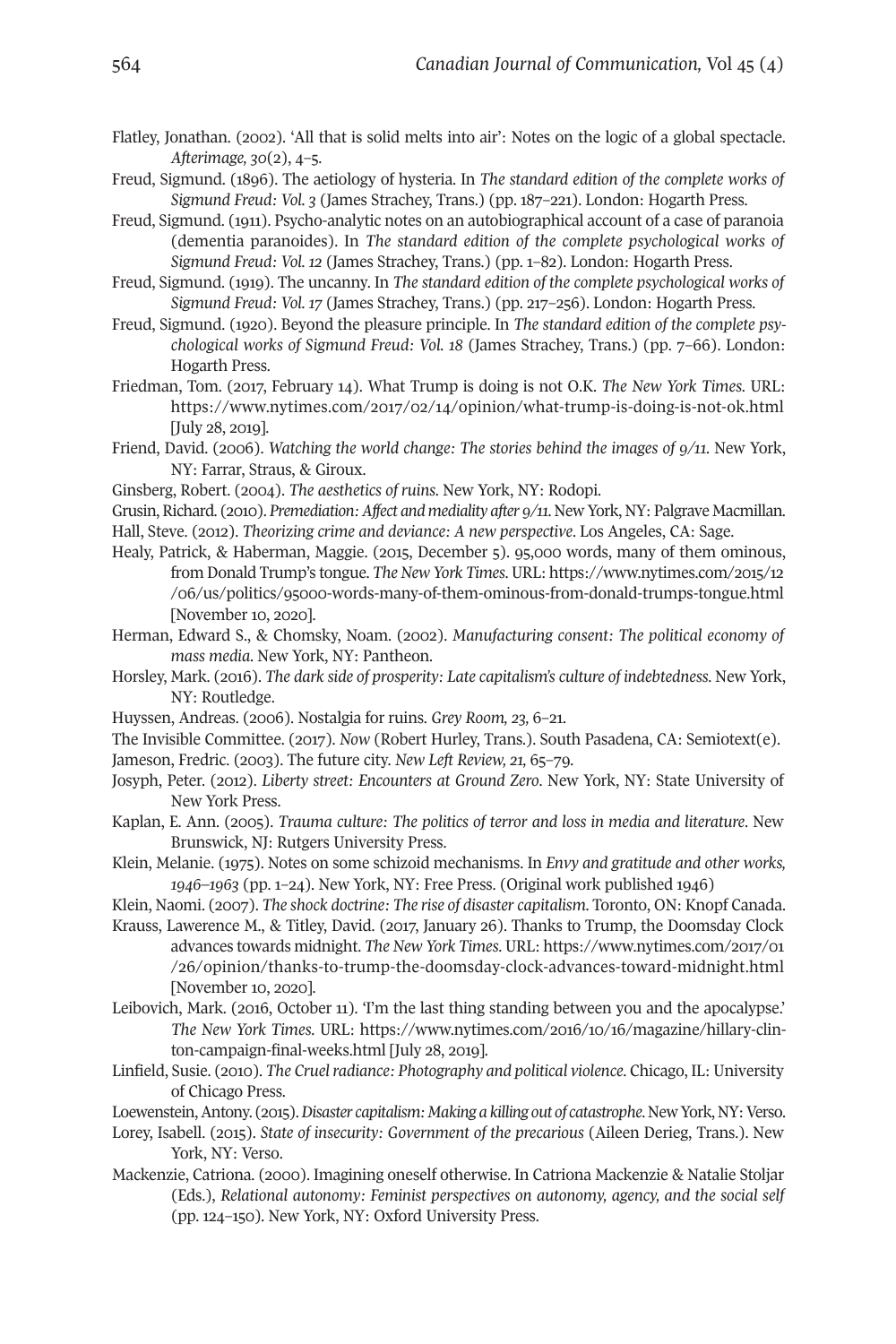- Flatley, Jonathan. (2002). 'All that is solid melts into air': Notes on the logic of a global spectacle. *Afterimage, 30*(2), 4–5.
- Freud, Sigmund. (1896). The aetiology of hysteria. In *The standard edition of the complete works of Sigmund Freud: Vol. 3* (James Strachey, Trans.) (pp. 187–221). London: Hogarth Press.
- Freud, Sigmund. (1911). Psycho-analytic notes on an autobiographical account of a case of paranoia (dementia paranoides). In *The standard edition of the complete psychological works of Sigmund Freud: Vol. 12* (James Strachey, Trans.) (pp. 1–82). London: Hogarth Press.
- Freud, Sigmund. (1919). The uncanny. In *The standard edition of the complete psychological works of Sigmund Freud: Vol. 17* (James Strachey, Trans.) (pp. 217–256). London: Hogarth Press.
- Freud, Sigmund. (1920). Beyond the pleasure principle. In *The standard edition of the complete psychological works of Sigmund Freud: Vol. 18* (James Strachey, Trans.) (pp. 7–66). London: Hogarth Press.
- Friedman, Tom. (2017, February 14). What Trump is doing is not O.K. *The New York Times*. URL: <https://www.nytimes.com/2017/02/14/opinion/what-trump-is-doing-is-not-ok.html> [July 28, 2019].
- Friend, David. (2006). *Watching the world change: The stories behind the images of 9/11*. New York, NY: Farrar, Straus, & Giroux.
- Ginsberg, Robert. (2004). *The aesthetics of ruins*. New York, NY: Rodopi.
- Grusin,Richard. (2010). *Premediation:Affect and mediality after 9/11*. New York, NY: Palgrave Macmillan. Hall, Steve. (2012). *Theorizing crime and deviance: A new perspective*. Los Angeles, CA: Sage.
- Healy, Patrick, & Haberman, Maggie. (2015, December 5). 95,000 words, many of them ominous, from Donald Trump's tongue. *TheNew York Times*. URL: [https://www.nytimes.com/2015/12](https://www.nytimes.com/2015/12/06/us/politics/95000-words-many-of-them-ominous-from-donald-trumps-tongue.html) [/06/us/politics/95000-words-many-of-them-ominous-from-donald-trumps-tongue.html](https://www.nytimes.com/2015/12/06/us/politics/95000-words-many-of-them-ominous-from-donald-trumps-tongue.html) [November 10, 2020].
- Herman, Edward S., & Chomsky, Noam. (2002). *Manufacturing consent: The political economy of mass media*. New York, NY: Pantheon.
- Horsley, Mark. (2016). *The dark side of prosperity: Late capitalism's culture of indebtedness*. New York, NY: Routledge.
- Huyssen, Andreas. (2006). Nostalgia for ruins. *Grey Room, 23,* 6–21.
- The Invisible Committee. (2017). *Now* (Robert Hurley, Trans.). South Pasadena, CA: Semiotext(e).
- Jameson, Fredric. (2003). The future city. *New Left Review, 21,* 65–79.
- Josyph, Peter. (2012). *Liberty street: Encounters at Ground Zero*. New York, NY: State University of New York Press.
- Kaplan, E. Ann. (2005). *Trauma culture: The politics of terror and loss in media and literature*. New Brunswick, NJ: Rutgers University Press.
- Klein, Melanie. (1975). Notes on some schizoid mechanisms. In *Envy and gratitude and other works, 1946–1963* (pp. 1–24). New York, NY: Free Press. (Original work published 1946)
- Klein, Naomi. (2007). *The shock doctrine: The rise of disaster capitalism*. Toronto, ON: Knopf Canada.
- Krauss, Lawerence M., & Titley, David. (2017, January 26). Thanks to Trump, the Doomsday Clock advances towards midnight. *The New York Times*. URL: [https://www.nytimes.com/2017/01](https://www.nytimes.com/2017/01/26/opinion/thanks-to-trump-the-doomsday-clock-advances-toward-midnight.html) [/26/opinion/thanks-to-trump-the-doomsday-clock-advances-toward-midnight.html](https://www.nytimes.com/2017/01/26/opinion/thanks-to-trump-the-doomsday-clock-advances-toward-midnight.html) [November 10, 2020].
- Leibovich, Mark. (2016, October 11). 'I'm the last thing standing between you and the apocalypse.' *The New York Times*. URL: [https://www.nytimes.com/2016/10/16/magazine/hillary-clin](https://www.nytimes.com/2016/10/16/magazine/hillary-clinton-campaign-final-weeks.html)[ton-campaign-final-weeks.html](https://www.nytimes.com/2016/10/16/magazine/hillary-clinton-campaign-final-weeks.html) [July 28, 2019].
- Linfield, Susie. (2010). *The Cruelradiance: Photography and political violence*. Chicago, IL: University of Chicago Press.
- Loewenstein, Antony. (2015). Disaster capitalism: Making a killing out of catastrophe. New York, NY: Verso.
- Lorey, Isabell. (2015). *State of insecurity: Government of the precarious* (Aileen Derieg, Trans.). New York, NY: Verso.
- Mackenzie, Catriona. (2000). Imagining oneself otherwise. In Catriona Mackenzie & Natalie Stoljar (Eds.), *Relational autonomy: Feminist perspectives on autonomy, agency, and the social self* (pp. 124–150)*.* New York, NY: Oxford University Press.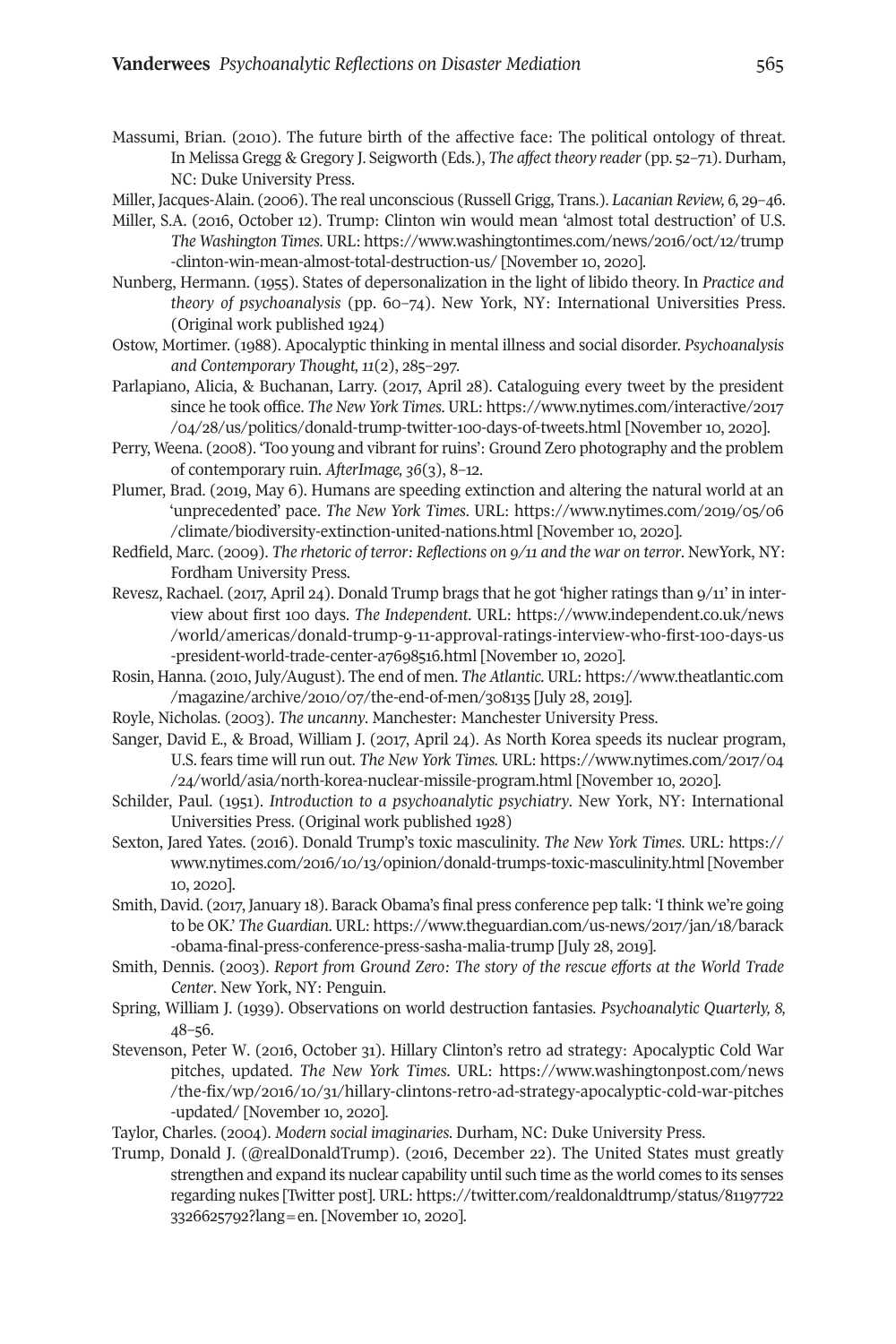- Massumi, Brian. (2010). The future birth of the affective face: The political ontology of threat. In Melissa Gregg & Gregory J. Seigworth (Eds.), *The affect theory reader* (pp. 52–71). Durham, NC: Duke University Press.
- Miller, Jacques-Alain. (2006). The real unconscious (Russell Grigg, Trans.). *Lacanian Review, 6,* 29–46.
- Miller, S.A. (2016, October 12). Trump: Clinton win would mean 'almost total destruction' of U.S. *The Washington Times*. URL: [https://www.washingtontimes.com/news/2016/oct/12/trump](https://www.washingtontimes.com/news/2016/oct/12/trump-clinton-win-mean-almost-total-destruction-us/) [-clinton-win-mean-almost-total-destruction-us/](https://www.washingtontimes.com/news/2016/oct/12/trump-clinton-win-mean-almost-total-destruction-us/) [November 10, 2020].
- Nunberg, Hermann. (1955). States of depersonalization in the light of libido theory. In *Practice and theory of psychoanalysis* (pp. 60–74). New York, NY: International Universities Press. (Original work published 1924)
- Ostow, Mortimer. (1988). Apocalyptic thinking in mental illness and social disorder. *Psychoanalysis and Contemporary Thought, 11*(2), 285–297.
- Parlapiano, Alicia, & Buchanan, Larry. (2017, April 28). Cataloguing every tweet by the president since he took office. *The New York Times*. URL: [https://www.nytimes.com/interactive/2017](https://www.nytimes.com/interactive/2017/04/28/us/politics/donald-trump-twitter-100-days-of-tweets.html) [/04/28/us/politics/donald-trump-twitter-100-days-of-tweets.html](https://www.nytimes.com/interactive/2017/04/28/us/politics/donald-trump-twitter-100-days-of-tweets.html) [November 10, 2020].
- Perry, Weena. (2008). 'Too young and vibrant forruins': Ground Zero photography and the problem of contemporary ruin. *AfterImage, 36*(3), 8–12.
- Plumer, Brad. (2019, May 6). Humans are speeding extinction and altering the natural world at an 'unprecedented' pace. *The New York Times*. URL: [https://www.nytimes.com/2019/05/06](https://www.nytimes.com/2019/05/06/climate/biodiversity-extinction-united-nations.html) [/climate/biodiversity-extinction-united-nations.html](https://www.nytimes.com/2019/05/06/climate/biodiversity-extinction-united-nations.html) [November 10, 2020].
- Redfield, Marc. (2009). *The rhetoric of terror: Reflections on 9/11 and the war on terror*. NewYork, NY: Fordham University Press.
- Revesz, Rachael. (2017, April 24). Donald Trump brags that he got 'higher ratings than 9/11' in interview about first 100 days. *The Independent*. URL: [https://www.independent.co.uk/news](https://www.independent.co.uk/news/world/americas/donald-trump-9-11-approval-ratings-interview-who-first-100-days-us-president-world-trade-center-a7698516.html) [/world/americas/donald-trump-9-11-approval-ratings-interview-who-first-100-days-us](https://www.independent.co.uk/news/world/americas/donald-trump-9-11-approval-ratings-interview-who-first-100-days-us-president-world-trade-center-a7698516.html) [-president-world-trade-center-a7698516.html](https://www.independent.co.uk/news/world/americas/donald-trump-9-11-approval-ratings-interview-who-first-100-days-us-president-world-trade-center-a7698516.html) [November 10, 2020].
- Rosin, Hanna. (2010, July/August). The end of men. *The Atlantic*. URL: [https://www.theatlantic.com](https://www.theatlantic.com/magazine/archive/2010/07/the-end-of-men/308135) [/magazine/archive/2010/07/the-end-of-men/308135](https://www.theatlantic.com/magazine/archive/2010/07/the-end-of-men/308135) [July 28, 2019].
- Royle, Nicholas. (2003). *The uncanny*. Manchester: Manchester University Press.
- Sanger, David E., & Broad, William J. (2017, April 24). As North Korea speeds its nuclear program, U.S. fears time will run out. *The New York Times.* URL: [https://www.nytimes.com/2017/04](https://www.nytimes.com/2017/04/24/world/asia/north-korea-nuclear-missile-program.html) [/24/world/asia/north-korea-nuclear-missile-program.html](https://www.nytimes.com/2017/04/24/world/asia/north-korea-nuclear-missile-program.html) [November 10, 2020].
- Schilder, Paul. (1951). *Introduction to a psychoanalytic psychiatry*. New York, NY: International Universities Press. (Original work published 1928)
- Sexton, Jared Yates. (2016). Donald Trump's toxic masculinity. *The New York Times*. URL: [https://](https://www.nytimes.com/2016/10/13/opinion/donald-trumps-toxic-masculinity.html) [www.nytimes.com/2016/10/13/opinion/donald-trumps-toxic-masculinity.html](https://www.nytimes.com/2016/10/13/opinion/donald-trumps-toxic-masculinity.html) [November 10, 2020].
- Smith, David. (2017, January 18). Barack Obama's final press conference pep talk: 'I think we're going to be OK.' *The Guardian*. URL: [https://www.theguardian.com/us-news/2017/jan/18/barack](https://www.theguardian.com/us-news/2017/jan/18/barack-obama-final-press-conference-press-sasha-malia-trump) [-obama-final-press-conference-press-sasha-malia-trump](https://www.theguardian.com/us-news/2017/jan/18/barack-obama-final-press-conference-press-sasha-malia-trump) [July 28, 2019].
- Smith, Dennis. (2003). *Report from Ground Zero: The story of the rescue efforts at the World Trade Center*. New York, NY: Penguin.
- Spring, William J. (1939). Observations on world destruction fantasies. *Psychoanalytic Quarterly, 8,* 48–56.
- Stevenson, Peter W. (2016, October 31). Hillary Clinton's retro ad strategy: Apocalyptic Cold War pitches, updated. *The New York Times*. URL: [https://www.washingtonpost.com/news](https://www.washingtonpost.com/news/the-fix/wp/2016/10/31/hillary-clintons-retro-ad-strategy-apocalyptic-cold-war-pitches-updated/) [/the-fix/wp/2016/10/31/hillary-clintons-retro-ad-strategy-apocalyptic-cold-war-pitches](https://www.washingtonpost.com/news/the-fix/wp/2016/10/31/hillary-clintons-retro-ad-strategy-apocalyptic-cold-war-pitches-updated/) [-updated/](https://www.washingtonpost.com/news/the-fix/wp/2016/10/31/hillary-clintons-retro-ad-strategy-apocalyptic-cold-war-pitches-updated/) [November 10, 2020].
- Taylor, Charles. (2004). *Modern social imaginaries*. Durham, NC: Duke University Press.
- Trump, Donald J. (@realDonaldTrump). (2016, December 22). The United States must greatly strengthen and expand its nuclear capability until such time as the world comes to its senses regarding nukes [Twitter post]. URL: [https://twitter.com/realdonaldtrump/status/81197722](https://twitter.com/realdonaldtrump/status/811977223326625792?lang=en) [3326625792?lang=en.](https://twitter.com/realdonaldtrump/status/811977223326625792?lang=en) [November 10, 2020].